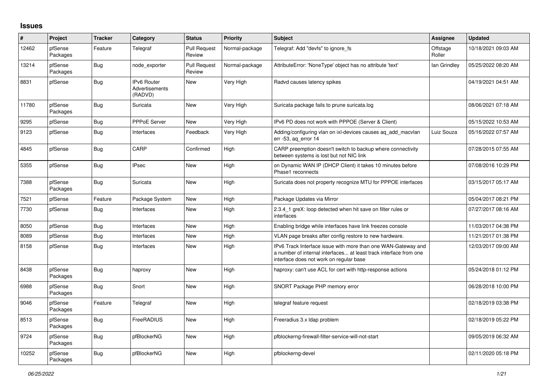## **Issues**

| $\vert$ # | Project             | <b>Tracker</b> | Category                                        | <b>Status</b>                 | <b>Priority</b> | <b>Subject</b>                                                                                                                                                                | Assignee           | <b>Updated</b>      |
|-----------|---------------------|----------------|-------------------------------------------------|-------------------------------|-----------------|-------------------------------------------------------------------------------------------------------------------------------------------------------------------------------|--------------------|---------------------|
| 12462     | pfSense<br>Packages | Feature        | Telegraf                                        | <b>Pull Request</b><br>Review | Normal-package  | Telegraf: Add "devfs" to ignore fs                                                                                                                                            | Offstage<br>Roller | 10/18/2021 09:03 AM |
| 13214     | pfSense<br>Packages | <b>Bug</b>     | node exporter                                   | <b>Pull Request</b><br>Review | Normal-package  | AttributeError: 'NoneType' object has no attribute 'text'                                                                                                                     | lan Grindley       | 05/25/2022 08:20 AM |
| 8831      | pfSense             | <b>Bug</b>     | <b>IPv6 Router</b><br>Advertisements<br>(RADVD) | <b>New</b>                    | Very High       | Radvd causes latency spikes                                                                                                                                                   |                    | 04/19/2021 04:51 AM |
| 11780     | pfSense<br>Packages | <b>Bug</b>     | Suricata                                        | <b>New</b>                    | Very High       | Suricata package fails to prune suricata.log                                                                                                                                  |                    | 08/06/2021 07:18 AM |
| 9295      | pfSense             | Bug            | PPPoE Server                                    | New                           | Very High       | IPv6 PD does not work with PPPOE (Server & Client)                                                                                                                            |                    | 05/15/2022 10:53 AM |
| 9123      | pfSense             | <b>Bug</b>     | Interfaces                                      | Feedback                      | Very High       | Adding/configuring vlan on ixl-devices causes ag add macvlan<br>err $-53$ , ag error $14$                                                                                     | Luiz Souza         | 05/16/2022 07:57 AM |
| 4845      | pfSense             | <b>Bug</b>     | CARP                                            | Confirmed                     | High            | CARP preemption doesn't switch to backup where connectivity<br>between systems is lost but not NIC link                                                                       |                    | 07/28/2015 07:55 AM |
| 5355      | pfSense             | <b>Bug</b>     | <b>IPsec</b>                                    | New                           | High            | on Dynamic WAN IP (DHCP Client) it takes 10 minutes before<br>Phase1 reconnects                                                                                               |                    | 07/08/2016 10:29 PM |
| 7388      | pfSense<br>Packages | <b>Bug</b>     | Suricata                                        | <b>New</b>                    | High            | Suricata does not property recognize MTU for PPPOE interfaces                                                                                                                 |                    | 03/15/2017 05:17 AM |
| 7521      | pfSense             | Feature        | Package System                                  | New                           | High            | Package Updates via Mirror                                                                                                                                                    |                    | 05/04/2017 08:21 PM |
| 7730      | pfSense             | <b>Bug</b>     | Interfaces                                      | <b>New</b>                    | High            | 2.3.4_1 greX: loop detected when hit save on filter rules or<br>interfaces                                                                                                    |                    | 07/27/2017 08:16 AM |
| 8050      | pfSense             | <b>Bug</b>     | Interfaces                                      | <b>New</b>                    | High            | Enabling bridge while interfaces have link freezes console                                                                                                                    |                    | 11/03/2017 04:38 PM |
| 8089      | pfSense             | <b>Bug</b>     | Interfaces                                      | New                           | High            | VLAN page breaks after config restore to new hardware.                                                                                                                        |                    | 11/21/2017 01:38 PM |
| 8158      | pfSense             | <b>Bug</b>     | Interfaces                                      | <b>New</b>                    | High            | IPv6 Track Interface issue with more than one WAN-Gateway and<br>a number of internal interfaces at least track interface from one<br>interface does not work on regular base |                    | 12/03/2017 09:00 AM |
| 8438      | pfSense<br>Packages | <b>Bug</b>     | haproxy                                         | <b>New</b>                    | High            | haproxy: can't use ACL for cert with http-response actions                                                                                                                    |                    | 05/24/2018 01:12 PM |
| 6988      | pfSense<br>Packages | <b>Bug</b>     | Snort                                           | New                           | High            | SNORT Package PHP memory error                                                                                                                                                |                    | 06/28/2018 10:00 PM |
| 9046      | pfSense<br>Packages | Feature        | Telegraf                                        | <b>New</b>                    | High            | telegraf feature request                                                                                                                                                      |                    | 02/18/2019 03:38 PM |
| 8513      | pfSense<br>Packages | <b>Bug</b>     | FreeRADIUS                                      | <b>New</b>                    | High            | Freeradius 3.x Idap problem                                                                                                                                                   |                    | 02/18/2019 05:22 PM |
| 9724      | pfSense<br>Packages | <b>Bug</b>     | pfBlockerNG                                     | <b>New</b>                    | High            | pfblockerng-firewall-filter-service-will-not-start                                                                                                                            |                    | 09/05/2019 06:32 AM |
| 10252     | pfSense<br>Packages | <b>Bug</b>     | pfBlockerNG                                     | <b>New</b>                    | High            | pfblockerng-devel                                                                                                                                                             |                    | 02/11/2020 05:18 PM |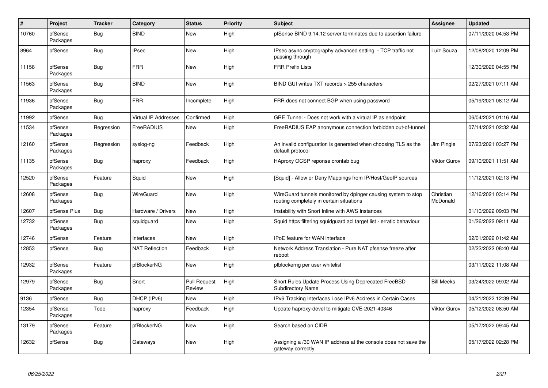| $\vert$ # | <b>Project</b>      | <b>Tracker</b> | Category                    | <b>Status</b>                 | <b>Priority</b> | <b>Subject</b>                                                                                            | Assignee                     | <b>Updated</b>      |
|-----------|---------------------|----------------|-----------------------------|-------------------------------|-----------------|-----------------------------------------------------------------------------------------------------------|------------------------------|---------------------|
| 10760     | pfSense<br>Packages | <b>Bug</b>     | <b>BIND</b>                 | <b>New</b>                    | High            | pfSense BIND 9.14.12 server terminates due to assertion failure                                           |                              | 07/11/2020 04:53 PM |
| 8964      | pfSense             | Bug            | <b>IPsec</b>                | New                           | High            | IPsec async cryptography advanced setting - TCP traffic not<br>passing through                            | Luiz Souza                   | 12/08/2020 12:09 PM |
| 11158     | pfSense<br>Packages | <b>Bug</b>     | <b>FRR</b>                  | New                           | High            | <b>FRR Prefix Lists</b>                                                                                   |                              | 12/30/2020 04:55 PM |
| 11563     | pfSense<br>Packages | Bug            | <b>BIND</b>                 | <b>New</b>                    | High            | BIND GUI writes TXT records > 255 characters                                                              |                              | 02/27/2021 07:11 AM |
| 11936     | pfSense<br>Packages | <b>Bug</b>     | <b>FRR</b>                  | Incomplete                    | High            | FRR does not connect BGP when using password                                                              |                              | 05/19/2021 08:12 AM |
| 11992     | pfSense             | Bug            | <b>Virtual IP Addresses</b> | Confirmed                     | High            | GRE Tunnel - Does not work with a virtual IP as endpoint                                                  |                              | 06/04/2021 01:16 AM |
| 11534     | pfSense<br>Packages | Regression     | FreeRADIUS                  | New                           | High            | FreeRADIUS EAP anonymous connection forbidden out-of-tunnel                                               |                              | 07/14/2021 02:32 AM |
| 12160     | pfSense<br>Packages | Regression     | syslog-ng                   | Feedback                      | High            | An invalid configuration is generated when choosing TLS as the<br>default protocol                        | Jim Pingle                   | 07/23/2021 03:27 PM |
| 11135     | pfSense<br>Packages | Bug            | haproxy                     | Feedback                      | High            | HAproxy OCSP reponse crontab bug                                                                          | Viktor Gurov                 | 09/10/2021 11:51 AM |
| 12520     | pfSense<br>Packages | Feature        | Squid                       | <b>New</b>                    | High            | [Squid] - Allow or Deny Mappings from IP/Host/GeoIP sources                                               |                              | 11/12/2021 02:13 PM |
| 12608     | pfSense<br>Packages | Bug            | WireGuard                   | <b>New</b>                    | High            | WireGuard tunnels monitored by dpinger causing system to stop<br>routing completely in certain situations | Christian<br><b>McDonald</b> | 12/16/2021 03:14 PM |
| 12607     | pfSense Plus        | Bug            | Hardware / Drivers          | <b>New</b>                    | High            | Instability with Snort Inline with AWS Instances                                                          |                              | 01/10/2022 09:03 PM |
| 12732     | pfSense<br>Packages | <b>Bug</b>     | squidguard                  | <b>New</b>                    | High            | Squid https filtering squidguard acl target list - erratic behaviour                                      |                              | 01/26/2022 09:11 AM |
| 12746     | pfSense             | Feature        | Interfaces                  | <b>New</b>                    | High            | <b>IPoE</b> feature for WAN interface                                                                     |                              | 02/01/2022 01:42 AM |
| 12853     | pfSense             | Bug            | <b>NAT Reflection</b>       | Feedback                      | High            | Network Address Translation - Pure NAT pfsense freeze after<br>reboot                                     |                              | 02/22/2022 08:40 AM |
| 12932     | pfSense<br>Packages | Feature        | pfBlockerNG                 | <b>New</b>                    | High            | pfblockerng per user whitelist                                                                            |                              | 03/11/2022 11:08 AM |
| 12979     | pfSense<br>Packages | <b>Bug</b>     | Snort                       | <b>Pull Request</b><br>Review | High            | Snort Rules Update Process Using Deprecated FreeBSD<br><b>Subdirectory Name</b>                           | <b>Bill Meeks</b>            | 03/24/2022 09:02 AM |
| 9136      | pfSense             | Bug            | DHCP (IPv6)                 | <b>New</b>                    | High            | IPv6 Tracking Interfaces Lose IPv6 Address in Certain Cases                                               |                              | 04/21/2022 12:39 PM |
| 12354     | pfSense<br>Packages | Todo           | haproxy                     | Feedback                      | High            | Update haproxy-devel to mitigate CVE-2021-40346                                                           | <b>Viktor Gurov</b>          | 05/12/2022 08:50 AM |
| 13179     | pfSense<br>Packages | Feature        | pfBlockerNG                 | New                           | High            | Search based on CIDR                                                                                      |                              | 05/17/2022 09:45 AM |
| 12632     | pfSense             | <b>Bug</b>     | Gateways                    | <b>New</b>                    | High            | Assigning a /30 WAN IP address at the console does not save the<br>gateway correctly                      |                              | 05/17/2022 02:28 PM |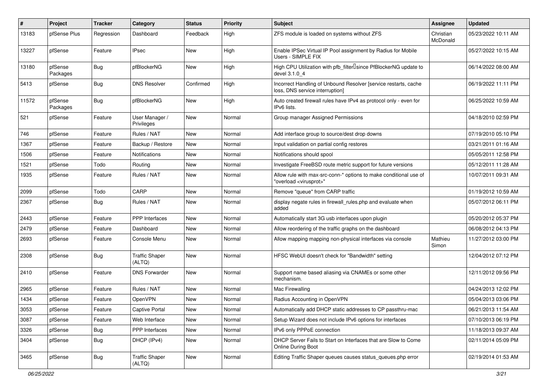| #     | Project             | <b>Tracker</b> | Category                        | <b>Status</b> | <b>Priority</b> | <b>Subject</b>                                                                                          | <b>Assignee</b>       | <b>Updated</b>      |
|-------|---------------------|----------------|---------------------------------|---------------|-----------------|---------------------------------------------------------------------------------------------------------|-----------------------|---------------------|
| 13183 | pfSense Plus        | Regression     | Dashboard                       | Feedback      | High            | ZFS module is loaded on systems without ZFS                                                             | Christian<br>McDonald | 05/23/2022 10:11 AM |
| 13227 | pfSense             | Feature        | <b>IPsec</b>                    | New           | High            | Enable IPSec Virtual IP Pool assignment by Radius for Mobile<br>Users - SIMPLE FIX                      |                       | 05/27/2022 10:15 AM |
| 13180 | pfSense<br>Packages | <b>Bug</b>     | pfBlockerNG                     | <b>New</b>    | High            | High CPU Utilization with pfb_filter <sup>[]</sup> since PfBlockerNG update to<br>devel 3.1.0 4         |                       | 06/14/2022 08:00 AM |
| 5413  | pfSense             | <b>Bug</b>     | <b>DNS Resolver</b>             | Confirmed     | High            | Incorrect Handling of Unbound Resolver [service restarts, cache<br>loss, DNS service interruption]      |                       | 06/19/2022 11:11 PM |
| 11572 | pfSense<br>Packages | <b>Bug</b>     | pfBlockerNG                     | New           | High            | Auto created firewall rules have IPv4 as protocol only - even for<br>IPv6 lists.                        |                       | 06/25/2022 10:59 AM |
| 521   | pfSense             | Feature        | User Manager /<br>Privileges    | New           | Normal          | Group manager Assigned Permissions                                                                      |                       | 04/18/2010 02:59 PM |
| 746   | pfSense             | Feature        | Rules / NAT                     | <b>New</b>    | Normal          | Add interface group to source/dest drop downs                                                           |                       | 07/19/2010 05:10 PM |
| 1367  | pfSense             | Feature        | Backup / Restore                | New           | Normal          | Input validation on partial config restores                                                             |                       | 03/21/2011 01:16 AM |
| 1506  | pfSense             | Feature        | Notifications                   | New           | Normal          | Notifications should spool                                                                              |                       | 05/05/2011 12:58 PM |
| 1521  | pfSense             | Todo           | Routing                         | New           | Normal          | Investigate FreeBSD route metric support for future versions                                            |                       | 05/12/2011 11:28 AM |
| 1935  | pfSense             | Feature        | Rules / NAT                     | New           | Normal          | Allow rule with max-src-conn-* options to make conditional use of<br>"overload <virusprot>"</virusprot> |                       | 10/07/2011 09:31 AM |
| 2099  | pfSense             | Todo           | CARP                            | New           | Normal          | Remove "queue" from CARP traffic                                                                        |                       | 01/19/2012 10:59 AM |
| 2367  | pfSense             | <b>Bug</b>     | Rules / NAT                     | New           | Normal          | display negate rules in firewall_rules.php and evaluate when<br>added                                   |                       | 05/07/2012 06:11 PM |
| 2443  | pfSense             | Feature        | <b>PPP</b> Interfaces           | New           | Normal          | Automatically start 3G usb interfaces upon plugin                                                       |                       | 05/20/2012 05:37 PM |
| 2479  | pfSense             | Feature        | Dashboard                       | New           | Normal          | Allow reordering of the traffic graphs on the dashboard                                                 |                       | 06/08/2012 04:13 PM |
| 2693  | pfSense             | Feature        | Console Menu                    | New           | Normal          | Allow mapping mapping non-physical interfaces via console                                               | Mathieu<br>Simon      | 11/27/2012 03:00 PM |
| 2308  | pfSense             | <b>Bug</b>     | <b>Traffic Shaper</b><br>(ALTQ) | New           | Normal          | HFSC WebUI doesn't check for "Bandwidth" setting                                                        |                       | 12/04/2012 07:12 PM |
| 2410  | pfSense             | Feature        | <b>DNS Forwarder</b>            | New           | Normal          | Support name based aliasing via CNAMEs or some other<br>mechanism.                                      |                       | 12/11/2012 09:56 PM |
| 2965  | pfSense             | Feature        | Rules / NAT                     | New           | Normal          | Mac Firewalling                                                                                         |                       | 04/24/2013 12:02 PM |
| 1434  | pfSense             | Feature        | OpenVPN                         | New           | Normal          | Radius Accounting in OpenVPN                                                                            |                       | 05/04/2013 03:06 PM |
| 3053  | pfSense             | Feature        | Captive Portal                  | New           | Normal          | Automatically add DHCP static addresses to CP passthru-mac                                              |                       | 06/21/2013 11:54 AM |
| 3087  | pfSense             | Feature        | Web Interface                   | New           | Normal          | Setup Wizard does not include IPv6 options for interfaces                                               |                       | 07/10/2013 06:19 PM |
| 3326  | pfSense             | <b>Bug</b>     | PPP Interfaces                  | New           | Normal          | IPv6 only PPPoE connection                                                                              |                       | 11/18/2013 09:37 AM |
| 3404  | pfSense             | Bug            | DHCP (IPv4)                     | New           | Normal          | DHCP Server Fails to Start on Interfaces that are Slow to Come<br>Online During Boot                    |                       | 02/11/2014 05:09 PM |
| 3465  | pfSense             | <b>Bug</b>     | <b>Traffic Shaper</b><br>(ALTQ) | New           | Normal          | Editing Traffic Shaper queues causes status_queues.php error                                            |                       | 02/19/2014 01:53 AM |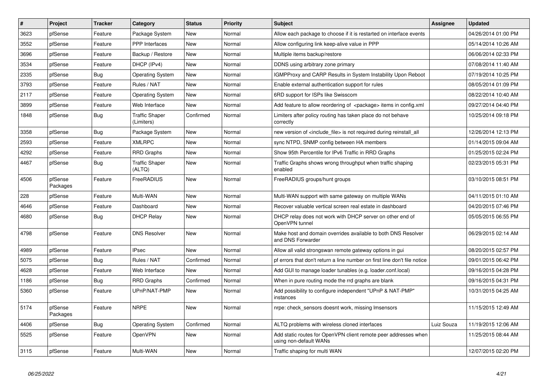| $\sharp$ | Project             | <b>Tracker</b> | Category                            | <b>Status</b> | <b>Priority</b> | <b>Subject</b>                                                                            | <b>Assignee</b> | <b>Updated</b>      |
|----------|---------------------|----------------|-------------------------------------|---------------|-----------------|-------------------------------------------------------------------------------------------|-----------------|---------------------|
| 3623     | pfSense             | Feature        | Package System                      | <b>New</b>    | Normal          | Allow each package to choose if it is restarted on interface events                       |                 | 04/26/2014 01:00 PM |
| 3552     | pfSense             | Feature        | <b>PPP</b> Interfaces               | <b>New</b>    | Normal          | Allow configuring link keep-alive value in PPP                                            |                 | 05/14/2014 10:26 AM |
| 3696     | pfSense             | Feature        | Backup / Restore                    | <b>New</b>    | Normal          | Multiple items backup/restore                                                             |                 | 06/06/2014 02:33 PM |
| 3534     | pfSense             | Feature        | DHCP (IPv4)                         | New           | Normal          | DDNS using arbitrary zone primary                                                         |                 | 07/08/2014 11:40 AM |
| 2335     | pfSense             | <b>Bug</b>     | <b>Operating System</b>             | <b>New</b>    | Normal          | <b>IGMPProxy and CARP Results in System Instability Upon Reboot</b>                       |                 | 07/19/2014 10:25 PM |
| 3793     | pfSense             | Feature        | Rules / NAT                         | <b>New</b>    | Normal          | Enable external authentication support for rules                                          |                 | 08/05/2014 01:09 PM |
| 2117     | pfSense             | Feature        | <b>Operating System</b>             | <b>New</b>    | Normal          | 6RD support for ISPs like Swisscom                                                        |                 | 08/22/2014 10:40 AM |
| 3899     | pfSense             | Feature        | Web Interface                       | <b>New</b>    | Normal          | Add feature to allow reordering of <package> items in config.xml</package>                |                 | 09/27/2014 04:40 PM |
| 1848     | pfSense             | <b>Bug</b>     | <b>Traffic Shaper</b><br>(Limiters) | Confirmed     | Normal          | Limiters after policy routing has taken place do not behave<br>correctly                  |                 | 10/25/2014 09:18 PM |
| 3358     | pfSense             | <b>Bug</b>     | Package System                      | <b>New</b>    | Normal          | new version of <include file=""> is not required during reinstall all</include>           |                 | 12/26/2014 12:13 PM |
| 2593     | pfSense             | Feature        | <b>XMLRPC</b>                       | <b>New</b>    | Normal          | sync NTPD, SNMP config between HA members                                                 |                 | 01/14/2015 09:04 AM |
| 4292     | pfSense             | Feature        | <b>RRD Graphs</b>                   | <b>New</b>    | Normal          | Show 95th Percentile for IPv6 Traffic in RRD Graphs                                       |                 | 01/25/2015 02:24 PM |
| 4467     | pfSense             | Bug            | <b>Traffic Shaper</b><br>(ALTQ)     | New           | Normal          | Traffic Graphs shows wrong throughput when traffic shaping<br>enabled                     |                 | 02/23/2015 05:31 PM |
| 4506     | pfSense<br>Packages | Feature        | FreeRADIUS                          | New           | Normal          | FreeRADIUS groups/hunt groups                                                             |                 | 03/10/2015 08:51 PM |
| 228      | pfSense             | Feature        | Multi-WAN                           | New           | Normal          | Multi-WAN support with same gateway on multiple WANs                                      |                 | 04/11/2015 01:10 AM |
| 4646     | pfSense             | Feature        | Dashboard                           | <b>New</b>    | Normal          | Recover valuable vertical screen real estate in dashboard                                 |                 | 04/20/2015 07:46 PM |
| 4680     | pfSense             | <b>Bug</b>     | <b>DHCP Relay</b>                   | New           | Normal          | DHCP relay does not work with DHCP server on other end of<br>OpenVPN tunnel               |                 | 05/05/2015 06:55 PM |
| 4798     | pfSense             | Feature        | <b>DNS Resolver</b>                 | <b>New</b>    | Normal          | Make host and domain overrides available to both DNS Resolver<br>and DNS Forwarder        |                 | 06/29/2015 02:14 AM |
| 4989     | pfSense             | Feature        | <b>IPsec</b>                        | <b>New</b>    | Normal          | Allow all valid strongswan remote gateway options in gui                                  |                 | 08/20/2015 02:57 PM |
| 5075     | pfSense             | <b>Bug</b>     | Rules / NAT                         | Confirmed     | Normal          | pf errors that don't return a line number on first line don't file notice                 |                 | 09/01/2015 06:42 PM |
| 4628     | pfSense             | Feature        | Web Interface                       | New           | Normal          | Add GUI to manage loader tunables (e.g. loader.conf.local)                                |                 | 09/16/2015 04:28 PM |
| 1186     | pfSense             | <b>Bug</b>     | <b>RRD Graphs</b>                   | Confirmed     | Normal          | When in pure routing mode the rrd graphs are blank                                        |                 | 09/16/2015 04:31 PM |
| 5360     | pfSense             | Feature        | UPnP/NAT-PMP                        | New           | Normal          | Add possibility to configure independent "UPnP & NAT-PMP"<br>instances                    |                 | 10/31/2015 04:25 AM |
| 5174     | pfSense<br>Packages | Feature        | <b>NRPE</b>                         | New           | Normal          | nrpe: check sensors doesnt work, missing Imsensors                                        |                 | 11/15/2015 12:49 AM |
| 4406     | pfSense             | <b>Bug</b>     | <b>Operating System</b>             | Confirmed     | Normal          | ALTQ problems with wireless cloned interfaces                                             | Luiz Souza      | 11/19/2015 12:06 AM |
| 5525     | pfSense             | Feature        | OpenVPN                             | New           | Normal          | Add static routes for OpenVPN client remote peer addresses when<br>using non-default WANs |                 | 11/25/2015 08:44 AM |
| 3115     | pfSense             | Feature        | Multi-WAN                           | New           | Normal          | Traffic shaping for multi WAN                                                             |                 | 12/07/2015 02:20 PM |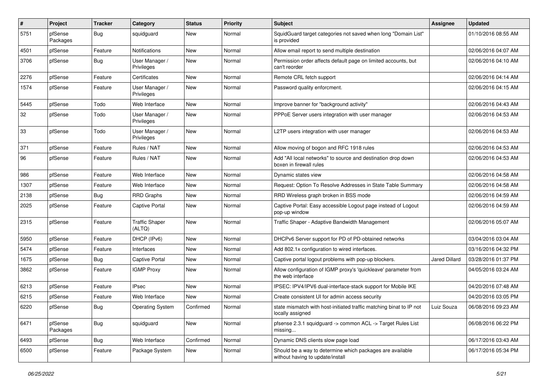| $\sharp$ | Project             | <b>Tracker</b> | Category                        | <b>Status</b> | Priority | Subject                                                                                       | <b>Assignee</b> | <b>Updated</b>      |
|----------|---------------------|----------------|---------------------------------|---------------|----------|-----------------------------------------------------------------------------------------------|-----------------|---------------------|
| 5751     | pfSense<br>Packages | <b>Bug</b>     | squidguard                      | New           | Normal   | SquidGuard target categories not saved when long "Domain List"<br>is provided                 |                 | 01/10/2016 08:55 AM |
| 4501     | pfSense             | Feature        | Notifications                   | New           | Normal   | Allow email report to send multiple destination                                               |                 | 02/06/2016 04:07 AM |
| 3706     | pfSense             | <b>Bug</b>     | User Manager /<br>Privileges    | New           | Normal   | Permission order affects default page on limited accounts, but<br>can't reorder               |                 | 02/06/2016 04:10 AM |
| 2276     | pfSense             | Feature        | Certificates                    | <b>New</b>    | Normal   | Remote CRL fetch support                                                                      |                 | 02/06/2016 04:14 AM |
| 1574     | pfSense             | Feature        | User Manager /<br>Privileges    | New           | Normal   | Password quality enforcment.                                                                  |                 | 02/06/2016 04:15 AM |
| 5445     | pfSense             | Todo           | Web Interface                   | New           | Normal   | Improve banner for "background activity"                                                      |                 | 02/06/2016 04:43 AM |
| 32       | pfSense             | Todo           | User Manager /<br>Privileges    | New           | Normal   | PPPoE Server users integration with user manager                                              |                 | 02/06/2016 04:53 AM |
| 33       | pfSense             | Todo           | User Manager /<br>Privileges    | New           | Normal   | L2TP users integration with user manager                                                      |                 | 02/06/2016 04:53 AM |
| 371      | pfSense             | Feature        | Rules / NAT                     | New           | Normal   | Allow moving of bogon and RFC 1918 rules                                                      |                 | 02/06/2016 04:53 AM |
| 96       | pfSense             | Feature        | Rules / NAT                     | New           | Normal   | Add "All local networks" to source and destination drop down<br>boxen in firewall rules       |                 | 02/06/2016 04:53 AM |
| 986      | pfSense             | Feature        | Web Interface                   | <b>New</b>    | Normal   | Dynamic states view                                                                           |                 | 02/06/2016 04:58 AM |
| 1307     | pfSense             | Feature        | Web Interface                   | New           | Normal   | Request: Option To Resolve Addresses in State Table Summary                                   |                 | 02/06/2016 04:58 AM |
| 2138     | pfSense             | Bug            | <b>RRD Graphs</b>               | New           | Normal   | RRD Wireless graph broken in BSS mode                                                         |                 | 02/06/2016 04:59 AM |
| 2025     | pfSense             | Feature        | <b>Captive Portal</b>           | New           | Normal   | Captive Portal: Easy accessible Logout page instead of Logout<br>pop-up window                |                 | 02/06/2016 04:59 AM |
| 2315     | pfSense             | Feature        | <b>Traffic Shaper</b><br>(ALTQ) | New           | Normal   | Traffic Shaper - Adaptive Bandwidth Management                                                |                 | 02/06/2016 05:07 AM |
| 5950     | pfSense             | Feature        | DHCP (IPv6)                     | New           | Normal   | DHCPv6 Server support for PD of PD-obtained networks                                          |                 | 03/04/2016 03:04 AM |
| 5474     | pfSense             | Feature        | Interfaces                      | New           | Normal   | Add 802.1x configuration to wired interfaces.                                                 |                 | 03/16/2016 04:32 PM |
| 1675     | pfSense             | <b>Bug</b>     | <b>Captive Portal</b>           | New           | Normal   | Captive portal logout problems with pop-up blockers.                                          | Jared Dillard   | 03/28/2016 01:37 PM |
| 3862     | pfSense             | Feature        | <b>IGMP Proxy</b>               | New           | Normal   | Allow configuration of IGMP proxy's 'quickleave' parameter from<br>the web interface          |                 | 04/05/2016 03:24 AM |
| 6213     | pfSense             | Feature        | <b>IPsec</b>                    | <b>New</b>    | Normal   | IPSEC: IPV4/IPV6 dual-interface-stack support for Mobile IKE                                  |                 | 04/20/2016 07:48 AM |
| 6215     | pfSense             | Feature        | Web Interface                   | New           | Normal   | Create consistent UI for admin access security                                                |                 | 04/20/2016 03:05 PM |
| 6220     | pfSense             | <b>Bug</b>     | <b>Operating System</b>         | Confirmed     | Normal   | state mismatch with host-initiated traffic matching binat to IP not<br>locally assigned       | Luiz Souza      | 06/08/2016 09:23 AM |
| 6471     | pfSense<br>Packages | <b>Bug</b>     | squidguard                      | New           | Normal   | pfsense 2.3.1 squidguard -> common ACL -> Target Rules List<br>missing                        |                 | 06/08/2016 06:22 PM |
| 6493     | pfSense             | <b>Bug</b>     | Web Interface                   | Confirmed     | Normal   | Dynamic DNS clients slow page load                                                            |                 | 06/17/2016 03:43 AM |
| 6500     | pfSense             | Feature        | Package System                  | New           | Normal   | Should be a way to determine which packages are available<br>without having to update/install |                 | 06/17/2016 05:34 PM |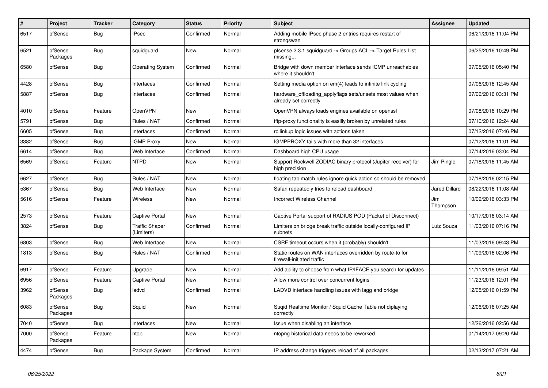| $\sharp$ | Project             | <b>Tracker</b> | Category                            | <b>Status</b> | <b>Priority</b> | <b>Subject</b>                                                                           | Assignee        | <b>Updated</b>      |
|----------|---------------------|----------------|-------------------------------------|---------------|-----------------|------------------------------------------------------------------------------------------|-----------------|---------------------|
| 6517     | pfSense             | Bug            | <b>IPsec</b>                        | Confirmed     | Normal          | Adding mobile IPsec phase 2 entries requires restart of<br>strongswan                    |                 | 06/21/2016 11:04 PM |
| 6521     | pfSense<br>Packages | Bug            | squidguard                          | New           | Normal          | pfsense 2.3.1 squidguard -> Groups ACL -> Target Rules List<br>missing                   |                 | 06/25/2016 10:49 PM |
| 6580     | pfSense             | <b>Bug</b>     | <b>Operating System</b>             | Confirmed     | Normal          | Bridge with down member interface sends ICMP unreachables<br>where it shouldn't          |                 | 07/05/2016 05:40 PM |
| 4428     | pfSense             | Bug            | Interfaces                          | Confirmed     | Normal          | Setting media option on em(4) leads to infinite link cycling                             |                 | 07/06/2016 12:45 AM |
| 5887     | pfSense             | <b>Bug</b>     | Interfaces                          | Confirmed     | Normal          | hardware offloading applyflags sets/unsets most values when<br>already set correctly     |                 | 07/06/2016 03:31 PM |
| 4010     | pfSense             | Feature        | OpenVPN                             | New           | Normal          | OpenVPN always loads engines available on openssl                                        |                 | 07/08/2016 10:29 PM |
| 5791     | pfSense             | <b>Bug</b>     | Rules / NAT                         | Confirmed     | Normal          | tftp-proxy functionality is easilly broken by unrelated rules                            |                 | 07/10/2016 12:24 AM |
| 6605     | pfSense             | <b>Bug</b>     | Interfaces                          | Confirmed     | Normal          | rc.linkup logic issues with actions taken                                                |                 | 07/12/2016 07:46 PM |
| 3382     | pfSense             | Bug            | <b>IGMP Proxy</b>                   | <b>New</b>    | Normal          | IGMPPROXY fails with more than 32 interfaces                                             |                 | 07/12/2016 11:01 PM |
| 6614     | pfSense             | Bug            | Web Interface                       | Confirmed     | Normal          | Dashboard high CPU usage                                                                 |                 | 07/14/2016 03:04 PM |
| 6569     | pfSense             | Feature        | <b>NTPD</b>                         | New           | Normal          | Support Rockwell ZODIAC binary protocol (Jupiter receiver) for<br>high precision         | Jim Pingle      | 07/18/2016 11:45 AM |
| 6627     | pfSense             | Bug            | Rules / NAT                         | New           | Normal          | floating tab match rules ignore quick action so should be removed                        |                 | 07/18/2016 02:15 PM |
| 5367     | pfSense             | <b>Bug</b>     | Web Interface                       | <b>New</b>    | Normal          | Safari repeatedly tries to reload dashboard                                              | Jared Dillard   | 08/22/2016 11:08 AM |
| 5616     | pfSense             | Feature        | <b>Wireless</b>                     | New           | Normal          | <b>Incorrect Wireless Channel</b>                                                        | Jim<br>Thompson | 10/09/2016 03:33 PM |
| 2573     | pfSense             | Feature        | <b>Captive Portal</b>               | <b>New</b>    | Normal          | Captive Portal support of RADIUS POD (Packet of Disconnect)                              |                 | 10/17/2016 03:14 AM |
| 3824     | pfSense             | Bug            | <b>Traffic Shaper</b><br>(Limiters) | Confirmed     | Normal          | Limiters on bridge break traffic outside locally-configured IP<br>subnets                | Luiz Souza      | 11/03/2016 07:16 PM |
| 6803     | pfSense             | <b>Bug</b>     | Web Interface                       | <b>New</b>    | Normal          | CSRF timeout occurs when it (probably) shouldn't                                         |                 | 11/03/2016 09:43 PM |
| 1813     | pfSense             | <b>Bug</b>     | Rules / NAT                         | Confirmed     | Normal          | Static routes on WAN interfaces overridden by route-to for<br>firewall-initiated traffic |                 | 11/09/2016 02:06 PM |
| 6917     | pfSense             | Feature        | Upgrade                             | New           | Normal          | Add ability to choose from what IP/IFACE you search for updates                          |                 | 11/11/2016 09:51 AM |
| 6956     | pfSense             | Feature        | <b>Captive Portal</b>               | New           | Normal          | Allow more control over concurrent logins                                                |                 | 11/23/2016 12:01 PM |
| 3962     | pfSense<br>Packages | Bug            | ladvd                               | Confirmed     | Normal          | LADVD interface handling issues with lagg and bridge                                     |                 | 12/05/2016 01:59 PM |
| 6083     | pfSense<br>Packages | <b>Bug</b>     | Squid                               | New           | Normal          | Sugid Realtime Monitor / Squid Cache Table not diplaying<br>correctly                    |                 | 12/06/2016 07:25 AM |
| 7040     | pfSense             | Bug            | Interfaces                          | New           | Normal          | Issue when disabling an interface                                                        |                 | 12/26/2016 02:56 AM |
| 7000     | pfSense<br>Packages | Feature        | ntop                                | New           | Normal          | ntopng historical data needs to be reworked                                              |                 | 01/14/2017 09:20 AM |
| 4474     | pfSense             | Bug            | Package System                      | Confirmed     | Normal          | IP address change triggers reload of all packages                                        |                 | 02/13/2017 07:21 AM |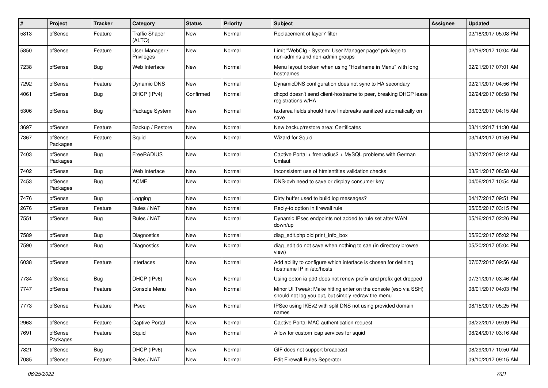| $\sharp$ | Project             | <b>Tracker</b> | Category                        | <b>Status</b> | <b>Priority</b> | Subject                                                                                                               | <b>Assignee</b> | <b>Updated</b>      |
|----------|---------------------|----------------|---------------------------------|---------------|-----------------|-----------------------------------------------------------------------------------------------------------------------|-----------------|---------------------|
| 5813     | pfSense             | Feature        | <b>Traffic Shaper</b><br>(ALTQ) | New           | Normal          | Replacement of layer7 filter                                                                                          |                 | 02/18/2017 05:08 PM |
| 5850     | pfSense             | Feature        | User Manager /<br>Privileges    | New           | Normal          | Limit "WebCfg - System: User Manager page" privilege to<br>non-admins and non-admin groups                            |                 | 02/19/2017 10:04 AM |
| 7238     | pfSense             | Bug            | Web Interface                   | New           | Normal          | Menu layout broken when using "Hostname in Menu" with long<br>hostnames                                               |                 | 02/21/2017 07:01 AM |
| 7292     | pfSense             | Feature        | Dynamic DNS                     | New           | Normal          | DynamicDNS configuration does not sync to HA secondary                                                                |                 | 02/21/2017 04:56 PM |
| 4061     | pfSense             | <b>Bug</b>     | DHCP (IPv4)                     | Confirmed     | Normal          | dhcpd doesn't send client-hostname to peer, breaking DHCP lease<br>registrations w/HA                                 |                 | 02/24/2017 08:58 PM |
| 5306     | pfSense             | <b>Bug</b>     | Package System                  | New           | Normal          | textarea fields should have linebreaks sanitized automatically on<br>save                                             |                 | 03/03/2017 04:15 AM |
| 3697     | pfSense             | Feature        | Backup / Restore                | New           | Normal          | New backup/restore area: Certificates                                                                                 |                 | 03/11/2017 11:30 AM |
| 7367     | pfSense<br>Packages | Feature        | Squid                           | New           | Normal          | <b>Wizard for Squid</b>                                                                                               |                 | 03/14/2017 01:59 PM |
| 7403     | pfSense<br>Packages | <b>Bug</b>     | FreeRADIUS                      | New           | Normal          | Captive Portal + freeradius2 + MySQL problems with German<br>Umlaut                                                   |                 | 03/17/2017 09:12 AM |
| 7402     | pfSense             | <b>Bug</b>     | Web Interface                   | New           | Normal          | Inconsistent use of htmlentities validation checks                                                                    |                 | 03/21/2017 08:58 AM |
| 7453     | pfSense<br>Packages | <b>Bug</b>     | <b>ACME</b>                     | New           | Normal          | DNS-ovh need to save or display consumer key                                                                          |                 | 04/06/2017 10:54 AM |
| 7476     | pfSense             | <b>Bug</b>     | Logging                         | New           | Normal          | Dirty buffer used to build log messages?                                                                              |                 | 04/17/2017 09:51 PM |
| 2676     | pfSense             | Feature        | Rules / NAT                     | <b>New</b>    | Normal          | Reply-to option in firewall rule                                                                                      |                 | 05/05/2017 03:15 PM |
| 7551     | pfSense             | <b>Bug</b>     | Rules / NAT                     | New           | Normal          | Dynamic IPsec endpoints not added to rule set after WAN<br>down/up                                                    |                 | 05/16/2017 02:26 PM |
| 7589     | pfSense             | <b>Bug</b>     | Diagnostics                     | New           | Normal          | diag edit.php old print info box                                                                                      |                 | 05/20/2017 05:02 PM |
| 7590     | pfSense             | <b>Bug</b>     | Diagnostics                     | New           | Normal          | diag edit do not save when nothing to sae (in directory browse<br>view)                                               |                 | 05/20/2017 05:04 PM |
| 6038     | pfSense             | Feature        | Interfaces                      | New           | Normal          | Add ability to configure which interface is chosen for defining<br>hostname IP in /etc/hosts                          |                 | 07/07/2017 09:56 AM |
| 7734     | pfSense             | <b>Bug</b>     | DHCP (IPv6)                     | <b>New</b>    | Normal          | Using opton ia pd0 does not renew prefix and prefix get dropped                                                       |                 | 07/31/2017 03:46 AM |
| 7747     | pfSense             | Feature        | Console Menu                    | New           | Normal          | Minor UI Tweak: Make hitting enter on the console (esp via SSH)<br>should not log you out, but simply redraw the menu |                 | 08/01/2017 04:03 PM |
| 7773     | pfSense             | Feature        | IPsec                           | New           | Normal          | IPSec using IKEv2 with split DNS not using provided domain<br>names                                                   |                 | 08/15/2017 05:25 PM |
| 2963     | pfSense             | Feature        | Captive Portal                  | New           | Normal          | Captive Portal MAC authentication request                                                                             |                 | 08/22/2017 09:09 PM |
| 7691     | pfSense<br>Packages | Feature        | Squid                           | New           | Normal          | Allow for custom icap services for squid                                                                              |                 | 08/24/2017 03:16 AM |
| 7821     | pfSense             | <b>Bug</b>     | DHCP (IPv6)                     | New           | Normal          | GIF does not support broadcast                                                                                        |                 | 08/29/2017 10:50 AM |
| 7085     | pfSense             | Feature        | Rules / NAT                     | New           | Normal          | <b>Edit Firewall Rules Seperator</b>                                                                                  |                 | 09/10/2017 09:15 AM |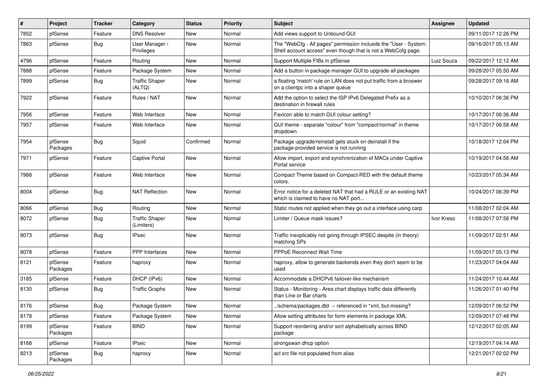| $\sharp$ | Project             | <b>Tracker</b> | Category                            | <b>Status</b> | Priority | <b>Subject</b>                                                                                                                    | <b>Assignee</b> | <b>Updated</b>      |
|----------|---------------------|----------------|-------------------------------------|---------------|----------|-----------------------------------------------------------------------------------------------------------------------------------|-----------------|---------------------|
| 7852     | pfSense             | Feature        | <b>DNS Resolver</b>                 | New           | Normal   | Add views support to Unbound GUI                                                                                                  |                 | 09/11/2017 12:26 PM |
| 7863     | pfSense             | <b>Bug</b>     | User Manager /<br>Privileges        | New           | Normal   | The "WebCfg - All pages" permission inclueds the "User - System:<br>Shell account access" even though that is not a WebCofg page. |                 | 09/16/2017 05:13 AM |
| 4796     | pfSense             | Feature        | Routing                             | New           | Normal   | Support Multiple FIBs in pfSense                                                                                                  | Luiz Souza      | 09/22/2017 12:12 AM |
| 7888     | pfSense             | Feature        | Package System                      | <b>New</b>    | Normal   | Add a button in package manager GUI to upgrade all packages                                                                       |                 | 09/28/2017 05:50 AM |
| 7899     | pfSense             | Bug            | <b>Traffic Shaper</b><br>(ALTQ)     | <b>New</b>    | Normal   | a floating 'match' rule on LAN does not put traffic from a broswer<br>on a clientpc into a shaper queue                           |                 | 09/28/2017 09:16 AM |
| 7922     | pfSense             | Feature        | Rules / NAT                         | <b>New</b>    | Normal   | Add the option to select the ISP IPv6 Delegated Prefix as a<br>destination in firewall rules                                      |                 | 10/10/2017 06:36 PM |
| 7956     | pfSense             | Feature        | Web Interface                       | New           | Normal   | Favicon able to match GUI colour setting?                                                                                         |                 | 10/17/2017 06:36 AM |
| 7957     | pfSense             | Feature        | Web Interface                       | <b>New</b>    | Normal   | GUI theme - separate "colour" from "compact/normal" in theme<br>dropdown                                                          |                 | 10/17/2017 06:58 AM |
| 7954     | pfSense<br>Packages | <b>Bug</b>     | Squid                               | Confirmed     | Normal   | Package upgrade/reinstall gets stuck on deinstall if the<br>package-provided service is not running                               |                 | 10/18/2017 12:04 PM |
| 7971     | pfSense             | Feature        | Captive Portal                      | New           | Normal   | Allow import, export and synchronization of MACs under Captive<br>Portal service                                                  |                 | 10/19/2017 04:56 AM |
| 7988     | pfSense             | Feature        | Web Interface                       | <b>New</b>    | Normal   | Compact Theme based on Compact-RED with the default theme<br>colors.                                                              |                 | 10/23/2017 05:34 AM |
| 8004     | pfSense             | <b>Bug</b>     | <b>NAT Reflection</b>               | <b>New</b>    | Normal   | Error notice for a deleted NAT that had a RULE or an existing NAT<br>which is claimed to have no NAT port                         |                 | 10/24/2017 06:39 PM |
| 8066     | pfSense             | <b>Bug</b>     | Routing                             | <b>New</b>    | Normal   | Static routes not applied when they go out a interface using carp                                                                 |                 | 11/08/2017 02:04 AM |
| 8072     | pfSense             | <b>Bug</b>     | <b>Traffic Shaper</b><br>(Limiters) | New           | Normal   | Limiter / Queue mask issues?                                                                                                      | Ivor Kreso      | 11/08/2017 07:56 PM |
| 8073     | pfSense             | <b>Bug</b>     | <b>IPsec</b>                        | <b>New</b>    | Normal   | Traffic inexplicably not going through IPSEC despite (in theory)<br>matching SPs                                                  |                 | 11/09/2017 02:51 AM |
| 8078     | pfSense             | Feature        | <b>PPP</b> Interfaces               | New           | Normal   | PPPoE Reconnect Wait Time                                                                                                         |                 | 11/09/2017 05:13 PM |
| 8121     | pfSense<br>Packages | Feature        | haproxy                             | <b>New</b>    | Normal   | haproxy, allow to generate backends even they don't seem to be<br>used                                                            |                 | 11/23/2017 04:04 AM |
| 3185     | pfSense             | Feature        | DHCP (IPv6)                         | <b>New</b>    | Normal   | Accommodate a DHCPv6 failover-like mechanism                                                                                      |                 | 11/24/2017 10:44 AM |
| 8130     | pfSense             | <b>Bug</b>     | <b>Traffic Graphs</b>               | <b>New</b>    | Normal   | Status - Monitoring - Area chart displays traffic data differently<br>than Line or Bar charts                                     |                 | 11/26/2017 01:40 PM |
| 8176     | pfSense             | <b>Bug</b>     | Package System                      | New           | Normal   | /schema/packages.dtd -- referenced in *xml, but missing?                                                                          |                 | 12/09/2017 06:52 PM |
| 8178     | pfSense             | Feature        | Package System                      | New           | Normal   | Allow setting attributes for form elements in package XML                                                                         |                 | 12/09/2017 07:48 PM |
| 8199     | pfSense<br>Packages | Feature        | <b>BIND</b>                         | New           | Normal   | Support reordering and/or sort alphabetically across BIND<br>package                                                              |                 | 12/12/2017 02:05 AM |
| 8168     | pfSense             | Feature        | <b>IPsec</b>                        | New           | Normal   | strongswan dhcp option                                                                                                            |                 | 12/19/2017 04:14 AM |
| 8213     | pfSense<br>Packages | <b>Bug</b>     | haproxy                             | New           | Normal   | acl src file not populated from alias                                                                                             |                 | 12/21/2017 02:02 PM |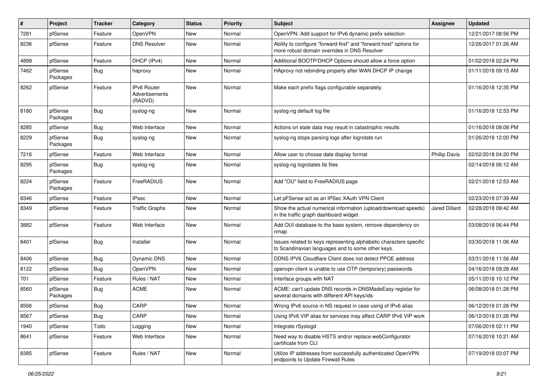| #    | Project             | <b>Tracker</b> | Category                                        | <b>Status</b> | Priority | <b>Subject</b>                                                                                                          | <b>Assignee</b>      | <b>Updated</b>      |
|------|---------------------|----------------|-------------------------------------------------|---------------|----------|-------------------------------------------------------------------------------------------------------------------------|----------------------|---------------------|
| 7281 | pfSense             | Feature        | OpenVPN                                         | New           | Normal   | OpenVPN: Add support for IPv6 dynamic prefix selection                                                                  |                      | 12/21/2017 08:56 PM |
| 8236 | pfSense             | Feature        | <b>DNS Resolver</b>                             | New           | Normal   | Ability to configure "forward-first" and "forward-host" options for<br>more robust domain overrides in DNS Resolver     |                      | 12/26/2017 01:26 AM |
| 4899 | pfSense             | Feature        | DHCP (IPv4)                                     | <b>New</b>    | Normal   | Additional BOOTP/DHCP Options should allow a force option                                                               |                      | 01/02/2018 02:24 PM |
| 7462 | pfSense<br>Packages | <b>Bug</b>     | haproxy                                         | New           | Normal   | HAproxy not rebinding properly after WAN DHCP IP change                                                                 |                      | 01/11/2018 09:15 AM |
| 8262 | pfSense             | Feature        | <b>IPv6 Router</b><br>Advertisements<br>(RADVD) | <b>New</b>    | Normal   | Make each prefix flags configurable separately.                                                                         |                      | 01/16/2018 12:35 PM |
| 8180 | pfSense<br>Packages | <b>Bug</b>     | syslog-ng                                       | New           | Normal   | syslog-ng default log file                                                                                              |                      | 01/16/2018 12:53 PM |
| 8285 | pfSense             | <b>Bug</b>     | Web Interface                                   | New           | Normal   | Actions on stale data may result in catastrophic results                                                                |                      | 01/16/2018 08:08 PM |
| 8229 | pfSense<br>Packages | <b>Bug</b>     | syslog-ng                                       | New           | Normal   | syslog-ng stops parsing logs after logrotate run                                                                        |                      | 01/26/2018 12:00 PM |
| 7216 | pfSense             | Feature        | Web Interface                                   | New           | Normal   | Allow user to choose date display format                                                                                | <b>Phillip Davis</b> | 02/02/2018 04:20 PM |
| 8295 | pfSense<br>Packages | <b>Bug</b>     | syslog-ng                                       | New           | Normal   | syslog-ng logrotates tls files                                                                                          |                      | 02/14/2018 06:12 AM |
| 8224 | pfSense<br>Packages | Feature        | FreeRADIUS                                      | New           | Normal   | Add "OU" field to FreeRADIUS page                                                                                       |                      | 02/21/2018 12:53 AM |
| 8346 | pfSense             | Feature        | <b>IPsec</b>                                    | New           | Normal   | Let pFSense act as an IPSec XAuth VPN Client                                                                            |                      | 02/23/2018 07:39 AM |
| 8349 | pfSense             | Feature        | <b>Traffic Graphs</b>                           | New           | Normal   | Show the actual numerical information (upload/download speeds)<br>in the traffic graph dashboard widget                 | Jared Dillard        | 02/28/2018 09:42 AM |
| 3882 | pfSense             | Feature        | Web Interface                                   | New           | Normal   | Add OUI database to the base system, remove dependency on<br>nmap                                                       |                      | 03/08/2018 06:44 PM |
| 8401 | pfSense             | <b>Bug</b>     | Installer                                       | New           | Normal   | Issues related to keys representing alphabetic characters specific<br>to Scandinavian languages and to some other keys. |                      | 03/30/2018 11:06 AM |
| 8406 | pfSense             | <b>Bug</b>     | <b>Dynamic DNS</b>                              | New           | Normal   | DDNS IPV6 Cloudflare Client does not detect PPOE address                                                                |                      | 03/31/2018 11:56 AM |
| 8122 | pfSense             | <b>Bug</b>     | OpenVPN                                         | New           | Normal   | openypn client is unable to use OTP (temporary) passwords                                                               |                      | 04/16/2018 09:28 AM |
| 701  | pfSense             | Feature        | Rules / NAT                                     | New           | Normal   | Interface groups with NAT                                                                                               |                      | 05/11/2018 10:12 PM |
| 8560 | pfSense<br>Packages | <b>Bug</b>     | <b>ACME</b>                                     | <b>New</b>    | Normal   | ACME: can't update DNS records in DNSMadeEasy registar for<br>several domains with different API keys/ids               |                      | 06/08/2018 01:28 PM |
| 8566 | pfSense             | <b>Bug</b>     | CARP                                            | New           | Normal   | Wrong IPv6 source in NS request in case using of IPv6 alias                                                             |                      | 06/12/2018 01:26 PM |
| 8567 | pfSense             | <b>Bug</b>     | CARP                                            | New           | Normal   | Using IPv6 VIP alias for services may affect CARP IPv6 VIP work                                                         |                      | 06/12/2018 01:26 PM |
| 1940 | pfSense             | Todo           | Logging                                         | New           | Normal   | Integrate rSyslogd                                                                                                      |                      | 07/06/2018 02:11 PM |
| 8641 | pfSense             | Feature        | Web Interface                                   | New           | Normal   | Need way to disable HSTS and/or replace webConfigurator<br>certificate from CLI                                         |                      | 07/16/2018 10:21 AM |
| 8385 | pfSense             | Feature        | Rules / NAT                                     | New           | Normal   | Utilize IP addresses from successfully authenticated OpenVPN<br>endpoints to Update Firewall Rules                      |                      | 07/19/2018 03:07 PM |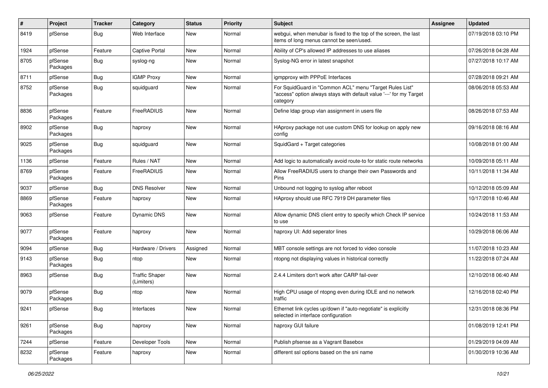| $\#$ | Project             | <b>Tracker</b> | Category                            | <b>Status</b> | Priority | <b>Subject</b>                                                                                                                             | <b>Assignee</b> | <b>Updated</b>      |
|------|---------------------|----------------|-------------------------------------|---------------|----------|--------------------------------------------------------------------------------------------------------------------------------------------|-----------------|---------------------|
| 8419 | pfSense             | <b>Bug</b>     | Web Interface                       | New           | Normal   | webgui, when menubar is fixed to the top of the screen, the last<br>items of long menus cannot be seen/used.                               |                 | 07/19/2018 03:10 PM |
| 1924 | pfSense             | Feature        | Captive Portal                      | New           | Normal   | Ability of CP's allowed IP addresses to use aliases                                                                                        |                 | 07/26/2018 04:28 AM |
| 8705 | pfSense<br>Packages | <b>Bug</b>     | syslog-ng                           | New           | Normal   | Syslog-NG error in latest snapshot                                                                                                         |                 | 07/27/2018 10:17 AM |
| 8711 | pfSense             | <b>Bug</b>     | <b>IGMP Proxy</b>                   | New           | Normal   | igmpproxy with PPPoE Interfaces                                                                                                            |                 | 07/28/2018 09:21 AM |
| 8752 | pfSense<br>Packages | <b>Bug</b>     | squidguard                          | New           | Normal   | For SquidGuard in "Common ACL" menu "Target Rules List"<br>"access" option always stays with default value '---' for my Target<br>category |                 | 08/06/2018 05:53 AM |
| 8836 | pfSense<br>Packages | Feature        | FreeRADIUS                          | New           | Normal   | Define Idap group vlan assignment in users file                                                                                            |                 | 08/26/2018 07:53 AM |
| 8902 | pfSense<br>Packages | <b>Bug</b>     | haproxy                             | New           | Normal   | HAproxy package not use custom DNS for lookup on apply new<br>config                                                                       |                 | 09/16/2018 08:16 AM |
| 9025 | pfSense<br>Packages | <b>Bug</b>     | squidguard                          | New           | Normal   | SquidGard + Target categories                                                                                                              |                 | 10/08/2018 01:00 AM |
| 1136 | pfSense             | Feature        | Rules / NAT                         | New           | Normal   | Add logic to automatically avoid route-to for static route networks                                                                        |                 | 10/09/2018 05:11 AM |
| 8769 | pfSense<br>Packages | Feature        | FreeRADIUS                          | New           | Normal   | Allow FreeRADIUS users to change their own Passwords and<br>Pins                                                                           |                 | 10/11/2018 11:34 AM |
| 9037 | pfSense             | <b>Bug</b>     | <b>DNS Resolver</b>                 | <b>New</b>    | Normal   | Unbound not logging to syslog after reboot                                                                                                 |                 | 10/12/2018 05:09 AM |
| 8869 | pfSense<br>Packages | Feature        | haproxy                             | New           | Normal   | HAproxy should use RFC 7919 DH parameter files                                                                                             |                 | 10/17/2018 10:46 AM |
| 9063 | pfSense             | Feature        | <b>Dynamic DNS</b>                  | <b>New</b>    | Normal   | Allow dynamic DNS client entry to specify which Check IP service<br>to use                                                                 |                 | 10/24/2018 11:53 AM |
| 9077 | pfSense<br>Packages | Feature        | haproxy                             | <b>New</b>    | Normal   | haproxy UI: Add seperator lines                                                                                                            |                 | 10/29/2018 06:06 AM |
| 9094 | pfSense             | <b>Bug</b>     | Hardware / Drivers                  | Assigned      | Normal   | MBT console settings are not forced to video console                                                                                       |                 | 11/07/2018 10:23 AM |
| 9143 | pfSense<br>Packages | Bug            | ntop                                | New           | Normal   | ntopng not displaying values in historical correctly                                                                                       |                 | 11/22/2018 07:24 AM |
| 8963 | pfSense             | <b>Bug</b>     | <b>Traffic Shaper</b><br>(Limiters) | New           | Normal   | 2.4.4 Limiters don't work after CARP fail-over                                                                                             |                 | 12/10/2018 06:40 AM |
| 9079 | pfSense<br>Packages | <b>Bug</b>     | ntop                                | New           | Normal   | High CPU usage of ntopng even during IDLE and no network<br>traffic                                                                        |                 | 12/16/2018 02:40 PM |
| 9241 | pfSense             | <b>Bug</b>     | Interfaces                          | New           | Normal   | Ethernet link cycles up/down if "auto-negotiate" is explicitly<br>selected in interface configuration                                      |                 | 12/31/2018 08:36 PM |
| 9261 | pfSense<br>Packages | <b>Bug</b>     | haproxy                             | New           | Normal   | haproxy GUI failure                                                                                                                        |                 | 01/08/2019 12:41 PM |
| 7244 | pfSense             | Feature        | Developer Tools                     | New           | Normal   | Publish pfsense as a Vagrant Basebox                                                                                                       |                 | 01/29/2019 04:09 AM |
| 8232 | pfSense<br>Packages | Feature        | haproxy                             | New           | Normal   | different ssl options based on the sni name                                                                                                |                 | 01/30/2019 10:36 AM |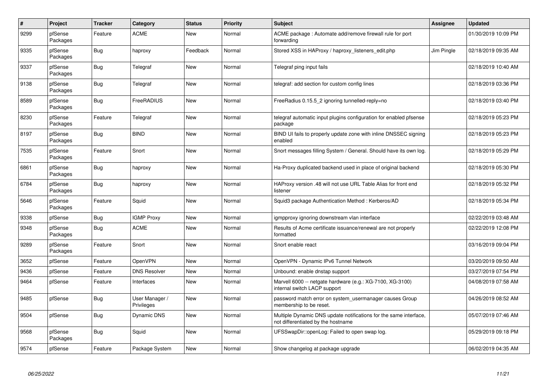| $\pmb{\#}$ | Project             | <b>Tracker</b> | Category                     | <b>Status</b> | Priority | <b>Subject</b>                                                                                          | <b>Assignee</b> | <b>Updated</b>      |
|------------|---------------------|----------------|------------------------------|---------------|----------|---------------------------------------------------------------------------------------------------------|-----------------|---------------------|
| 9299       | pfSense<br>Packages | Feature        | <b>ACME</b>                  | New           | Normal   | ACME package: Automate add/remove firewall rule for port<br>forwarding                                  |                 | 01/30/2019 10:09 PM |
| 9335       | pfSense<br>Packages | Bug            | haproxy                      | Feedback      | Normal   | Stored XSS in HAProxy / haproxy_listeners_edit.php                                                      | Jim Pingle      | 02/18/2019 09:35 AM |
| 9337       | pfSense<br>Packages | <b>Bug</b>     | Telegraf                     | <b>New</b>    | Normal   | Telegraf ping input fails                                                                               |                 | 02/18/2019 10:40 AM |
| 9138       | pfSense<br>Packages | <b>Bug</b>     | Telegraf                     | <b>New</b>    | Normal   | telegraf: add section for custom config lines                                                           |                 | 02/18/2019 03:36 PM |
| 8589       | pfSense<br>Packages | <b>Bug</b>     | FreeRADIUS                   | New           | Normal   | FreeRadius 0.15.5 2 ignoring tunnelled-reply=no                                                         |                 | 02/18/2019 03:40 PM |
| 8230       | pfSense<br>Packages | Feature        | Telegraf                     | New           | Normal   | telegraf automatic input plugins configuration for enabled pfsense<br>package                           |                 | 02/18/2019 05:23 PM |
| 8197       | pfSense<br>Packages | <b>Bug</b>     | <b>BIND</b>                  | New           | Normal   | BIND UI fails to properly update zone with inline DNSSEC signing<br>enabled                             |                 | 02/18/2019 05:23 PM |
| 7535       | pfSense<br>Packages | Feature        | Snort                        | New           | Normal   | Snort messages filling System / General. Should have its own log.                                       |                 | 02/18/2019 05:29 PM |
| 6861       | pfSense<br>Packages | <b>Bug</b>     | haproxy                      | <b>New</b>    | Normal   | Ha-Proxy duplicated backend used in place of original backend                                           |                 | 02/18/2019 05:30 PM |
| 6784       | pfSense<br>Packages | Bug            | haproxy                      | New           | Normal   | HAProxy version .48 will not use URL Table Alias for front end<br>listener                              |                 | 02/18/2019 05:32 PM |
| 5646       | pfSense<br>Packages | Feature        | Squid                        | <b>New</b>    | Normal   | Squid3 package Authentication Method: Kerberos/AD                                                       |                 | 02/18/2019 05:34 PM |
| 9338       | pfSense             | <b>Bug</b>     | <b>IGMP Proxy</b>            | <b>New</b>    | Normal   | igmpproxy ignoring downstream vlan interface                                                            |                 | 02/22/2019 03:48 AM |
| 9348       | pfSense<br>Packages | <b>Bug</b>     | <b>ACME</b>                  | <b>New</b>    | Normal   | Results of Acme certificate issuance/renewal are not properly<br>formatted                              |                 | 02/22/2019 12:08 PM |
| 9289       | pfSense<br>Packages | Feature        | Snort                        | <b>New</b>    | Normal   | Snort enable react                                                                                      |                 | 03/16/2019 09:04 PM |
| 3652       | pfSense             | Feature        | OpenVPN                      | <b>New</b>    | Normal   | OpenVPN - Dynamic IPv6 Tunnel Network                                                                   |                 | 03/20/2019 09:50 AM |
| 9436       | pfSense             | Feature        | <b>DNS Resolver</b>          | New           | Normal   | Unbound: enable dnstap support                                                                          |                 | 03/27/2019 07:54 PM |
| 9464       | pfSense             | Feature        | Interfaces                   | <b>New</b>    | Normal   | Marvell 6000 -- netgate hardware (e.g.: XG-7100, XG-3100)<br>internal switch LACP support               |                 | 04/08/2019 07:58 AM |
| 9485       | pfSense             | <b>Bug</b>     | User Manager /<br>Privileges | New           | Normal   | password match error on system usermanager causes Group<br>membership to be reset.                      |                 | 04/26/2019 08:52 AM |
| 9504       | pfSense             | <b>Bug</b>     | Dynamic DNS                  | <b>New</b>    | Normal   | Multiple Dynamic DNS update notifications for the same interface,<br>not differentiated by the hostname |                 | 05/07/2019 07:46 AM |
| 9568       | pfSense<br>Packages | <b>Bug</b>     | Squid                        | <b>New</b>    | Normal   | UFSSwapDir::openLog: Failed to open swap log.                                                           |                 | 05/29/2019 09:18 PM |
| 9574       | pfSense             | Feature        | Package System               | New           | Normal   | Show changelog at package upgrade                                                                       |                 | 06/02/2019 04:35 AM |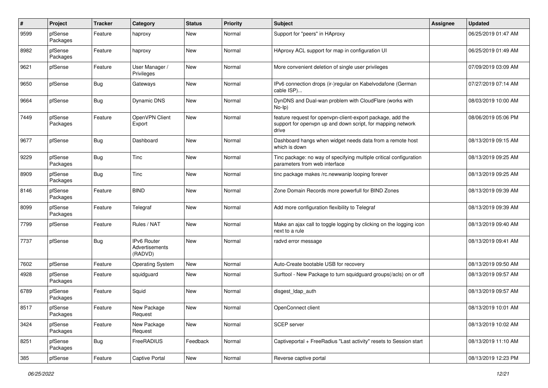| $\#$ | Project             | <b>Tracker</b> | <b>Category</b>                                 | <b>Status</b> | <b>Priority</b> | <b>Subject</b>                                                                                                                     | Assignee | <b>Updated</b>      |
|------|---------------------|----------------|-------------------------------------------------|---------------|-----------------|------------------------------------------------------------------------------------------------------------------------------------|----------|---------------------|
| 9599 | pfSense<br>Packages | Feature        | haproxy                                         | New           | Normal          | Support for "peers" in HAproxy                                                                                                     |          | 06/25/2019 01:47 AM |
| 8982 | pfSense<br>Packages | Feature        | haproxy                                         | New           | Normal          | HAproxy ACL support for map in configuration UI                                                                                    |          | 06/25/2019 01:49 AM |
| 9621 | pfSense             | Feature        | User Manager /<br>Privileges                    | New           | Normal          | More convenient deletion of single user privileges                                                                                 |          | 07/09/2019 03:09 AM |
| 9650 | pfSense             | Bug            | Gateways                                        | New           | Normal          | IPv6 connection drops (ir-)regular on Kabelvodafone (German<br>cable ISP)                                                          |          | 07/27/2019 07:14 AM |
| 9664 | pfSense             | <b>Bug</b>     | Dynamic DNS                                     | New           | Normal          | DynDNS and Dual-wan problem with CloudFlare (works with<br>$No-Ip)$                                                                |          | 08/03/2019 10:00 AM |
| 7449 | pfSense<br>Packages | Feature        | OpenVPN Client<br>Export                        | New           | Normal          | feature request for openvpn-client-export package, add the<br>support for openvpn up and down script, for mapping network<br>drive |          | 08/06/2019 05:06 PM |
| 9677 | pfSense             | Bug            | Dashboard                                       | <b>New</b>    | Normal          | Dashboard hangs when widget needs data from a remote host<br>which is down                                                         |          | 08/13/2019 09:15 AM |
| 9229 | pfSense<br>Packages | <b>Bug</b>     | Tinc                                            | <b>New</b>    | Normal          | Tinc package: no way of specifying multiple critical configuration<br>parameters from web interface                                |          | 08/13/2019 09:25 AM |
| 8909 | pfSense<br>Packages | <b>Bug</b>     | Tinc                                            | New           | Normal          | tinc package makes /rc.newwanip looping forever                                                                                    |          | 08/13/2019 09:25 AM |
| 8146 | pfSense<br>Packages | Feature        | <b>BIND</b>                                     | New           | Normal          | Zone Domain Records more powerfull for BIND Zones                                                                                  |          | 08/13/2019 09:39 AM |
| 8099 | pfSense<br>Packages | Feature        | Telegraf                                        | New           | Normal          | Add more configuration flexibility to Telegraf                                                                                     |          | 08/13/2019 09:39 AM |
| 7799 | pfSense             | Feature        | Rules / NAT                                     | <b>New</b>    | Normal          | Make an ajax call to toggle logging by clicking on the logging icon<br>next to a rule                                              |          | 08/13/2019 09:40 AM |
| 7737 | pfSense             | <b>Bug</b>     | <b>IPv6 Router</b><br>Advertisements<br>(RADVD) | <b>New</b>    | Normal          | radvd error message                                                                                                                |          | 08/13/2019 09:41 AM |
| 7602 | pfSense             | Feature        | <b>Operating System</b>                         | New           | Normal          | Auto-Create bootable USB for recovery                                                                                              |          | 08/13/2019 09:50 AM |
| 4928 | pfSense<br>Packages | Feature        | squidguard                                      | New           | Normal          | Surftool - New Package to turn squidguard groups(/acls) on or off                                                                  |          | 08/13/2019 09:57 AM |
| 6789 | pfSense<br>Packages | Feature        | Squid                                           | New           | Normal          | disgest Idap auth                                                                                                                  |          | 08/13/2019 09:57 AM |
| 8517 | pfSense<br>Packages | Feature        | New Package<br>Request                          | New           | Normal          | OpenConnect client                                                                                                                 |          | 08/13/2019 10:01 AM |
| 3424 | pfSense<br>Packages | Feature        | New Package<br>Request                          | New           | Normal          | SCEP server                                                                                                                        |          | 08/13/2019 10:02 AM |
| 8251 | pfSense<br>Packages | <b>Bug</b>     | FreeRADIUS                                      | Feedback      | Normal          | Captiveportal + FreeRadius "Last activity" resets to Session start                                                                 |          | 08/13/2019 11:10 AM |
| 385  | pfSense             | Feature        | <b>Captive Portal</b>                           | New           | Normal          | Reverse captive portal                                                                                                             |          | 08/13/2019 12:23 PM |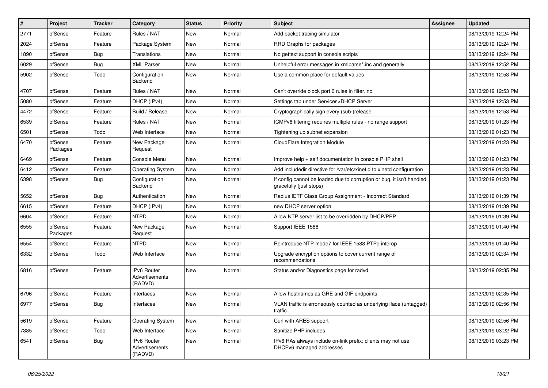| #    | Project             | <b>Tracker</b> | Category                                 | <b>Status</b> | Priority | <b>Subject</b>                                                                                   | <b>Assignee</b> | <b>Updated</b>      |
|------|---------------------|----------------|------------------------------------------|---------------|----------|--------------------------------------------------------------------------------------------------|-----------------|---------------------|
| 2771 | pfSense             | Feature        | Rules / NAT                              | New           | Normal   | Add packet tracing simulator                                                                     |                 | 08/13/2019 12:24 PM |
| 2024 | pfSense             | Feature        | Package System                           | <b>New</b>    | Normal   | RRD Graphs for packages                                                                          |                 | 08/13/2019 12:24 PM |
| 1890 | pfSense             | Bug            | Translations                             | New           | Normal   | No gettext support in console scripts                                                            |                 | 08/13/2019 12:24 PM |
| 6029 | pfSense             | <b>Bug</b>     | <b>XML Parser</b>                        | New           | Normal   | Unhelpful error messages in xmlparse*.inc and generally                                          |                 | 08/13/2019 12:52 PM |
| 5902 | pfSense             | Todo           | Configuration<br>Backend                 | New           | Normal   | Use a common place for default values                                                            |                 | 08/13/2019 12:53 PM |
| 4707 | pfSense             | Feature        | Rules / NAT                              | New           | Normal   | Can't override block port 0 rules in filter.inc                                                  |                 | 08/13/2019 12:53 PM |
| 5080 | pfSense             | Feature        | DHCP (IPv4)                              | <b>New</b>    | Normal   | Settings tab under Services>DHCP Server                                                          |                 | 08/13/2019 12:53 PM |
| 4472 | pfSense             | Feature        | Build / Release                          | New           | Normal   | Cryptographically sign every (sub-)release                                                       |                 | 08/13/2019 12:53 PM |
| 6539 | pfSense             | Feature        | Rules / NAT                              | <b>New</b>    | Normal   | ICMPv6 filtering requires multiple rules - no range support                                      |                 | 08/13/2019 01:23 PM |
| 6501 | pfSense             | Todo           | Web Interface                            | New           | Normal   | Tightening up subnet expansion                                                                   |                 | 08/13/2019 01:23 PM |
| 6470 | pfSense<br>Packages | Feature        | New Package<br>Request                   | New           | Normal   | CloudFlare Integration Module                                                                    |                 | 08/13/2019 01:23 PM |
| 6469 | pfSense             | Feature        | Console Menu                             | <b>New</b>    | Normal   | Improve help + self documentation in console PHP shell                                           |                 | 08/13/2019 01:23 PM |
| 6412 | pfSense             | Feature        | <b>Operating System</b>                  | New           | Normal   | Add includedir directive for /var/etc/xinet.d to xinetd configuration                            |                 | 08/13/2019 01:23 PM |
| 6398 | pfSense             | <b>Bug</b>     | Configuration<br><b>Backend</b>          | <b>New</b>    | Normal   | If config cannot be loaded due to corruption or bug, it isn't handled<br>gracefully (just stops) |                 | 08/13/2019 01:23 PM |
| 5652 | pfSense             | <b>Bug</b>     | Authentication                           | <b>New</b>    | Normal   | Radius IETF Class Group Assignment - Incorrect Standard                                          |                 | 08/13/2019 01:39 PM |
| 6615 | pfSense             | Feature        | DHCP (IPv4)                              | New           | Normal   | new DHCP server option                                                                           |                 | 08/13/2019 01:39 PM |
| 6604 | pfSense             | Feature        | <b>NTPD</b>                              | <b>New</b>    | Normal   | Allow NTP server list to be overridden by DHCP/PPP                                               |                 | 08/13/2019 01:39 PM |
| 6555 | pfSense<br>Packages | Feature        | New Package<br>Request                   | New           | Normal   | Support IEEE 1588                                                                                |                 | 08/13/2019 01:40 PM |
| 6554 | pfSense             | Feature        | <b>NTPD</b>                              | New           | Normal   | Reintroduce NTP mode7 for IEEE 1588 PTPd interop                                                 |                 | 08/13/2019 01:40 PM |
| 6332 | pfSense             | Todo           | Web Interface                            | New           | Normal   | Upgrade encryption options to cover current range of<br>recommendations                          |                 | 08/13/2019 02:34 PM |
| 6816 | pfSense             | Feature        | IPv6 Router<br>Advertisements<br>(RADVD) | <b>New</b>    | Normal   | Status and/or Diagnostics page for radvd                                                         |                 | 08/13/2019 02:35 PM |
| 6796 | pfSense             | Feature        | Interfaces                               | New           | Normal   | Allow hostnames as GRE and GIF endpoints                                                         |                 | 08/13/2019 02:35 PM |
| 6977 | pfSense             | <b>Bug</b>     | Interfaces                               | New           | Normal   | VLAN traffic is erroneously counted as underlying iface (untagged)<br>traffic                    |                 | 08/13/2019 02:56 PM |
| 5619 | pfSense             | Feature        | <b>Operating System</b>                  | New           | Normal   | Curl with ARES support                                                                           |                 | 08/13/2019 02:56 PM |
| 7385 | pfSense             | Todo           | Web Interface                            | New           | Normal   | Sanitize PHP includes                                                                            |                 | 08/13/2019 03:22 PM |
| 6541 | pfSense             | <b>Bug</b>     | IPv6 Router<br>Advertisements<br>(RADVD) | New           | Normal   | IPv6 RAs always include on-link prefix; clients may not use<br>DHCPv6 managed addresses          |                 | 08/13/2019 03:23 PM |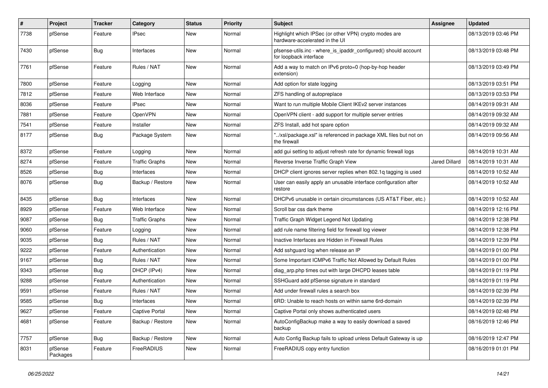| #    | Project             | <b>Tracker</b> | Category              | <b>Status</b> | <b>Priority</b> | <b>Subject</b>                                                                            | Assignee             | <b>Updated</b>      |
|------|---------------------|----------------|-----------------------|---------------|-----------------|-------------------------------------------------------------------------------------------|----------------------|---------------------|
| 7738 | pfSense             | Feature        | <b>IPsec</b>          | New           | Normal          | Highlight which IPSec (or other VPN) crypto modes are<br>hardware-accelerated in the UI   |                      | 08/13/2019 03:46 PM |
| 7430 | pfSense             | Bug            | Interfaces            | New           | Normal          | pfsense-utils.inc - where is ipaddr configured() should account<br>for loopback interface |                      | 08/13/2019 03:48 PM |
| 7761 | pfSense             | Feature        | Rules / NAT           | <b>New</b>    | Normal          | Add a way to match on IPv6 proto=0 (hop-by-hop header<br>extension)                       |                      | 08/13/2019 03:49 PM |
| 7800 | pfSense             | Feature        | Logging               | <b>New</b>    | Normal          | Add option for state logging                                                              |                      | 08/13/2019 03:51 PM |
| 7812 | pfSense             | Feature        | Web Interface         | <b>New</b>    | Normal          | ZFS handling of autopreplace                                                              |                      | 08/13/2019 03:53 PM |
| 8036 | pfSense             | Feature        | <b>IPsec</b>          | New           | Normal          | Want to run multiple Mobile Client IKEv2 server instances                                 |                      | 08/14/2019 09:31 AM |
| 7881 | pfSense             | Feature        | OpenVPN               | <b>New</b>    | Normal          | OpenVPN client - add support for multiple server entries                                  |                      | 08/14/2019 09:32 AM |
| 7541 | pfSense             | Feature        | Installer             | New           | Normal          | ZFS Install, add hot spare option                                                         |                      | 08/14/2019 09:32 AM |
| 8177 | pfSense             | Bug            | Package System        | New           | Normal          | "/xsl/package.xsl" is referenced in package XML files but not on<br>the firewall          |                      | 08/14/2019 09:56 AM |
| 8372 | pfSense             | Feature        | Logging               | <b>New</b>    | Normal          | add gui setting to adjust refresh rate for dynamic firewall logs                          |                      | 08/14/2019 10:31 AM |
| 8274 | pfSense             | Feature        | <b>Traffic Graphs</b> | New           | Normal          | Reverse Inverse Traffic Graph View                                                        | <b>Jared Dillard</b> | 08/14/2019 10:31 AM |
| 8526 | pfSense             | Bug            | Interfaces            | <b>New</b>    | Normal          | DHCP client ignores server replies when 802.1q tagging is used                            |                      | 08/14/2019 10:52 AM |
| 8076 | pfSense             | Bug            | Backup / Restore      | New           | Normal          | User can easily apply an unusable interface configuration after<br>restore                |                      | 08/14/2019 10:52 AM |
| 8435 | pfSense             | Bug            | Interfaces            | <b>New</b>    | Normal          | DHCPv6 unusable in certain circumstances (US AT&T Fiber, etc.)                            |                      | 08/14/2019 10:52 AM |
| 8929 | pfSense             | Feature        | Web Interface         | <b>New</b>    | Normal          | Scroll bar css dark theme                                                                 |                      | 08/14/2019 12:16 PM |
| 9087 | pfSense             | Bug            | <b>Traffic Graphs</b> | <b>New</b>    | Normal          | Traffic Graph Widget Legend Not Updating                                                  |                      | 08/14/2019 12:38 PM |
| 9060 | pfSense             | Feature        | Logging               | New           | Normal          | add rule name filtering field for firewall log viewer                                     |                      | 08/14/2019 12:38 PM |
| 9035 | pfSense             | <b>Bug</b>     | Rules / NAT           | <b>New</b>    | Normal          | Inactive Interfaces are Hidden in Firewall Rules                                          |                      | 08/14/2019 12:39 PM |
| 9222 | pfSense             | Feature        | Authentication        | New           | Normal          | Add sshquard log when release an IP                                                       |                      | 08/14/2019 01:00 PM |
| 9167 | pfSense             | <b>Bug</b>     | Rules / NAT           | New           | Normal          | Some Important ICMPv6 Traffic Not Allowed by Default Rules                                |                      | 08/14/2019 01:00 PM |
| 9343 | pfSense             | Bug            | DHCP (IPv4)           | New           | Normal          | diag arp.php times out with large DHCPD leases table                                      |                      | 08/14/2019 01:19 PM |
| 9288 | pfSense             | Feature        | Authentication        | New           | Normal          | SSHGuard add pfSense signature in standard                                                |                      | 08/14/2019 01:19 PM |
| 9591 | pfSense             | Feature        | Rules / NAT           | New           | Normal          | Add under firewall rules a search box                                                     |                      | 08/14/2019 02:39 PM |
| 9585 | pfSense             | Bug            | Interfaces            | New           | Normal          | 6RD: Unable to reach hosts on within same 6rd-domain                                      |                      | 08/14/2019 02:39 PM |
| 9627 | pfSense             | Feature        | <b>Captive Portal</b> | <b>New</b>    | Normal          | Captive Portal only shows authenticated users                                             |                      | 08/14/2019 02:48 PM |
| 4681 | pfSense             | Feature        | Backup / Restore      | <b>New</b>    | Normal          | AutoConfigBackup make a way to easily download a saved<br>backup                          |                      | 08/16/2019 12:46 PM |
| 7757 | pfSense             | <b>Bug</b>     | Backup / Restore      | <b>New</b>    | Normal          | Auto Config Backup fails to upload unless Default Gateway is up                           |                      | 08/16/2019 12:47 PM |
| 8031 | pfSense<br>Packages | Feature        | FreeRADIUS            | <b>New</b>    | Normal          | FreeRADIUS copy entry function                                                            |                      | 08/16/2019 01:01 PM |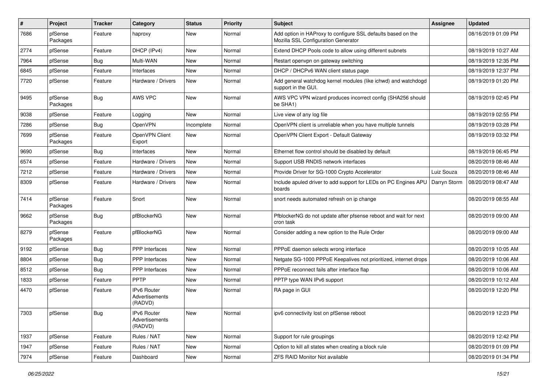| $\pmb{\#}$ | Project             | <b>Tracker</b> | Category                                 | <b>Status</b> | <b>Priority</b> | <b>Subject</b>                                                                                      | <b>Assignee</b> | <b>Updated</b>      |
|------------|---------------------|----------------|------------------------------------------|---------------|-----------------|-----------------------------------------------------------------------------------------------------|-----------------|---------------------|
| 7686       | pfSense<br>Packages | Feature        | haproxy                                  | New           | Normal          | Add option in HAProxy to configure SSL defaults based on the<br>Mozilla SSL Configuration Generator |                 | 08/16/2019 01:09 PM |
| 2774       | pfSense             | Feature        | DHCP (IPv4)                              | New           | Normal          | Extend DHCP Pools code to allow using different subnets                                             |                 | 08/19/2019 10:27 AM |
| 7964       | pfSense             | <b>Bug</b>     | Multi-WAN                                | New           | Normal          | Restart openypn on gateway switching                                                                |                 | 08/19/2019 12:35 PM |
| 6845       | pfSense             | Feature        | Interfaces                               | <b>New</b>    | Normal          | DHCP / DHCPv6 WAN client status page                                                                |                 | 08/19/2019 12:37 PM |
| 7720       | pfSense             | Feature        | Hardware / Drivers                       | New           | Normal          | Add general watchdog kernel modules (like ichwd) and watchdogd<br>support in the GUI.               |                 | 08/19/2019 01:20 PM |
| 9495       | pfSense<br>Packages | Bug            | AWS VPC                                  | New           | Normal          | AWS VPC VPN wizard produces incorrect config (SHA256 should<br>be SHA1)                             |                 | 08/19/2019 02:45 PM |
| 9038       | pfSense             | Feature        | Logging                                  | New           | Normal          | Live view of any log file                                                                           |                 | 08/19/2019 02:55 PM |
| 7286       | pfSense             | Bug            | OpenVPN                                  | Incomplete    | Normal          | OpenVPN client is unreliable when you have multiple tunnels                                         |                 | 08/19/2019 03:28 PM |
| 7699       | pfSense<br>Packages | Feature        | OpenVPN Client<br>Export                 | New           | Normal          | OpenVPN Client Export - Default Gateway                                                             |                 | 08/19/2019 03:32 PM |
| 9690       | pfSense             | <b>Bug</b>     | Interfaces                               | <b>New</b>    | Normal          | Ethernet flow control should be disabled by default                                                 |                 | 08/19/2019 06:45 PM |
| 6574       | pfSense             | Feature        | Hardware / Drivers                       | New           | Normal          | Support USB RNDIS network interfaces                                                                |                 | 08/20/2019 08:46 AM |
| 7212       | pfSense             | Feature        | Hardware / Drivers                       | <b>New</b>    | Normal          | Provide Driver for SG-1000 Crypto Accelerator                                                       | Luiz Souza      | 08/20/2019 08:46 AM |
| 8309       | pfSense             | Feature        | Hardware / Drivers                       | New           | Normal          | Include apuled driver to add support for LEDs on PC Engines APU   Darryn Storm<br>boards            |                 | 08/20/2019 08:47 AM |
| 7414       | pfSense<br>Packages | Feature        | Snort                                    | <b>New</b>    | Normal          | snort needs automated refresh on ip change                                                          |                 | 08/20/2019 08:55 AM |
| 9662       | pfSense<br>Packages | <b>Bug</b>     | pfBlockerNG                              | <b>New</b>    | Normal          | PfblockerNG do not update after pfsense reboot and wait for next<br>cron task                       |                 | 08/20/2019 09:00 AM |
| 8279       | pfSense<br>Packages | Feature        | pfBlockerNG                              | New           | Normal          | Consider adding a new option to the Rule Order                                                      |                 | 08/20/2019 09:00 AM |
| 9192       | pfSense             | <b>Bug</b>     | <b>PPP</b> Interfaces                    | New           | Normal          | PPPoE daemon selects wrong interface                                                                |                 | 08/20/2019 10:05 AM |
| 8804       | pfSense             | <b>Bug</b>     | PPP Interfaces                           | New           | Normal          | Netgate SG-1000 PPPoE Keepalives not prioritized, internet drops                                    |                 | 08/20/2019 10:06 AM |
| 8512       | pfSense             | <b>Bug</b>     | <b>PPP</b> Interfaces                    | New           | Normal          | PPPoE reconnect fails after interface flap                                                          |                 | 08/20/2019 10:06 AM |
| 1833       | pfSense             | Feature        | PPTP                                     | New           | Normal          | PPTP type WAN IPv6 support                                                                          |                 | 08/20/2019 10:12 AM |
| 4470       | pfSense             | Feature        | IPv6 Router<br>Advertisements<br>(RADVD) | <b>New</b>    | Normal          | RA page in GUI                                                                                      |                 | 08/20/2019 12:20 PM |
| 7303       | pfSense             | <b>Bug</b>     | IPv6 Router<br>Advertisements<br>(RADVD) | New           | Normal          | ipv6 connectivity lost on pfSense reboot                                                            |                 | 08/20/2019 12:23 PM |
| 1937       | pfSense             | Feature        | Rules / NAT                              | New           | Normal          | Support for rule groupings                                                                          |                 | 08/20/2019 12:42 PM |
| 1947       | pfSense             | Feature        | Rules / NAT                              | New           | Normal          | Option to kill all states when creating a block rule                                                |                 | 08/20/2019 01:09 PM |
| 7974       | pfSense             | Feature        | Dashboard                                | New           | Normal          | ZFS RAID Monitor Not available                                                                      |                 | 08/20/2019 01:34 PM |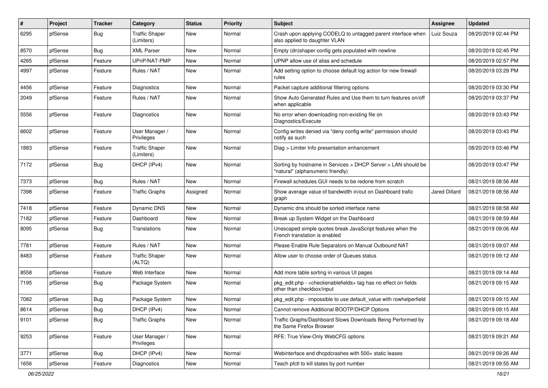| #    | Project | <b>Tracker</b> | Category                            | <b>Status</b> | Priority | <b>Subject</b>                                                                                     | <b>Assignee</b> | <b>Updated</b>      |
|------|---------|----------------|-------------------------------------|---------------|----------|----------------------------------------------------------------------------------------------------|-----------------|---------------------|
| 6295 | pfSense | <b>Bug</b>     | <b>Traffic Shaper</b><br>(Limiters) | New           | Normal   | Crash upon applying CODELQ to untagged parent interface when<br>also applied to daughter VLAN      | Luiz Souza      | 08/20/2019 02:44 PM |
| 8570 | pfSense | Bug            | <b>XML Parser</b>                   | New           | Normal   | Empty (dn)shaper config gets populated with newline                                                |                 | 08/20/2019 02:45 PM |
| 4265 | pfSense | Feature        | UPnP/NAT-PMP                        | New           | Normal   | UPNP allow use of alias and schedule                                                               |                 | 08/20/2019 02:57 PM |
| 4997 | pfSense | Feature        | Rules / NAT                         | New           | Normal   | Add setting option to choose default log action for new firewall<br>rules                          |                 | 08/20/2019 03:29 PM |
| 4456 | pfSense | Feature        | <b>Diagnostics</b>                  | New           | Normal   | Packet capture additional filtering options                                                        |                 | 08/20/2019 03:30 PM |
| 2049 | pfSense | Feature        | Rules / NAT                         | New           | Normal   | Show Auto Generated Rules and Use them to turn features on/off<br>when applicable                  |                 | 08/20/2019 03:37 PM |
| 5556 | pfSense | Feature        | Diagnostics                         | New           | Normal   | No error when downloading non-existing file on<br>Diagnostics/Execute                              |                 | 08/20/2019 03:43 PM |
| 6602 | pfSense | Feature        | User Manager /<br>Privileges        | New           | Normal   | Config writes denied via "deny config write" permission should<br>notify as such                   |                 | 08/20/2019 03:43 PM |
| 1883 | pfSense | Feature        | <b>Traffic Shaper</b><br>(Limiters) | New           | Normal   | Diag > Limiter Info presentation enhancement                                                       |                 | 08/20/2019 03:46 PM |
| 7172 | pfSense | <b>Bug</b>     | DHCP (IPv4)                         | New           | Normal   | Sorting by hostname in Services > DHCP Server > LAN should be<br>"natural" (alphanumeric friendly) |                 | 08/20/2019 03:47 PM |
| 7373 | pfSense | <b>Bug</b>     | Rules / NAT                         | New           | Normal   | Firewall schedules GUI needs to be redone from scratch                                             |                 | 08/21/2019 08:56 AM |
| 7398 | pfSense | Feature        | <b>Traffic Graphs</b>               | Assigned      | Normal   | Show average value of bandwidth in/out on Dashboard trafic<br>graph                                | Jared Dillard   | 08/21/2019 08:56 AM |
| 7418 | pfSense | Feature        | <b>Dynamic DNS</b>                  | New           | Normal   | Dynamic dns should be sorted interface name                                                        |                 | 08/21/2019 08:58 AM |
| 7182 | pfSense | Feature        | Dashboard                           | New           | Normal   | Break up System Widget on the Dashboard                                                            |                 | 08/21/2019 08:59 AM |
| 8095 | pfSense | <b>Bug</b>     | Translations                        | New           | Normal   | Unescaped simple quotes break JavaScript features when the<br>French translation is enabled        |                 | 08/21/2019 09:06 AM |
| 7781 | pfSense | Feature        | Rules / NAT                         | New           | Normal   | Please Enable Rule Separators on Manual Outbound NAT                                               |                 | 08/21/2019 09:07 AM |
| 8483 | pfSense | Feature        | <b>Traffic Shaper</b><br>(ALTQ)     | New           | Normal   | Allow user to choose order of Queues status                                                        |                 | 08/21/2019 09:12 AM |
| 8558 | pfSense | Feature        | Web Interface                       | New           | Normal   | Add more table sorting in various UI pages                                                         |                 | 08/21/2019 09:14 AM |
| 7195 | pfSense | <b>Bug</b>     | Package System                      | New           | Normal   | pkg_edit.php - < checkenablefields> tag has no effect on fields<br>other than checkbox/input       |                 | 08/21/2019 09:15 AM |
| 7082 | pfSense | <b>Bug</b>     | Package System                      | New           | Normal   | pkg edit.php - impossible to use default value with rowhelperfield                                 |                 | 08/21/2019 09:15 AM |
| 8614 | pfSense | <b>Bug</b>     | DHCP (IPv4)                         | New           | Normal   | Cannot remove Additional BOOTP/DHCP Options                                                        |                 | 08/21/2019 09:15 AM |
| 9101 | pfSense | Bug            | <b>Traffic Graphs</b>               | New           | Normal   | Traffic Graphs/Dashboard Slows Downloads Being Performed by<br>the Same Firefox Browser            |                 | 08/21/2019 09:18 AM |
| 9253 | pfSense | Feature        | User Manager /<br>Privileges        | New           | Normal   | RFE: True View-Only WebCFG options                                                                 |                 | 08/21/2019 09:21 AM |
| 3771 | pfSense | <b>Bug</b>     | DHCP (IPv4)                         | New           | Normal   | Webinterface and dhcpdcrashes with 500+ static leases                                              |                 | 08/21/2019 09:26 AM |
| 1656 | pfSense | Feature        | Diagnostics                         | New           | Normal   | Teach pfctl to kill states by port number                                                          |                 | 08/21/2019 09:55 AM |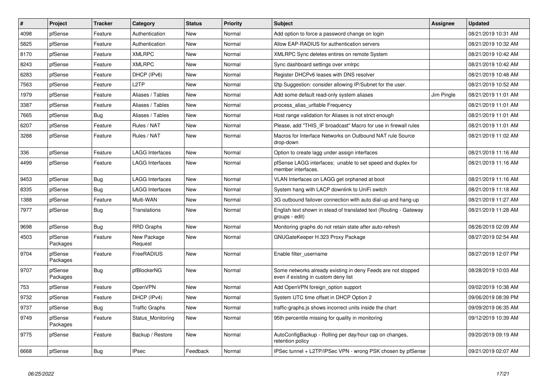| $\vert$ # | Project             | <b>Tracker</b> | Category               | <b>Status</b> | <b>Priority</b> | <b>Subject</b>                                                                                       | <b>Assignee</b> | <b>Updated</b>      |
|-----------|---------------------|----------------|------------------------|---------------|-----------------|------------------------------------------------------------------------------------------------------|-----------------|---------------------|
| 4098      | pfSense             | Feature        | Authentication         | New           | Normal          | Add option to force a password change on login                                                       |                 | 08/21/2019 10:31 AM |
| 5825      | pfSense             | Feature        | Authentication         | New           | Normal          | Allow EAP-RADIUS for authentication servers                                                          |                 | 08/21/2019 10:32 AM |
| 8170      | pfSense             | Feature        | <b>XMLRPC</b>          | New           | Normal          | XMLRPC Sync deletes entires on remote System                                                         |                 | 08/21/2019 10:42 AM |
| 8243      | pfSense             | Feature        | <b>XMLRPC</b>          | <b>New</b>    | Normal          | Sync dashboard settings over xmlrpc                                                                  |                 | 08/21/2019 10:42 AM |
| 6283      | pfSense             | Feature        | DHCP (IPv6)            | <b>New</b>    | Normal          | Register DHCPv6 leases with DNS resolver                                                             |                 | 08/21/2019 10:48 AM |
| 7563      | pfSense             | Feature        | L <sub>2</sub> TP      | New           | Normal          | I2tp Suggestion: consider allowing IP/Subnet for the user.                                           |                 | 08/21/2019 10:52 AM |
| 1979      | pfSense             | Feature        | Aliases / Tables       | New           | Normal          | Add some default read-only system aliases                                                            | Jim Pingle      | 08/21/2019 11:01 AM |
| 3387      | pfSense             | Feature        | Aliases / Tables       | New           | Normal          | process_alias_urItable Frequency                                                                     |                 | 08/21/2019 11:01 AM |
| 7665      | pfSense             | <b>Bug</b>     | Aliases / Tables       | <b>New</b>    | Normal          | Host range validation for Aliases is not strict enough                                               |                 | 08/21/2019 11:01 AM |
| 6207      | pfSense             | Feature        | Rules / NAT            | New           | Normal          | Please, add "THIS_IF broadcast" Macro for use in firewall rules                                      |                 | 08/21/2019 11:01 AM |
| 3288      | pfSense             | Feature        | Rules / NAT            | New           | Normal          | Macros for Interface Networks on Outbound NAT rule Source<br>drop-down                               |                 | 08/21/2019 11:02 AM |
| 336       | pfSense             | Feature        | <b>LAGG Interfaces</b> | <b>New</b>    | Normal          | Option to create lagg under assign interfaces                                                        |                 | 08/21/2019 11:16 AM |
| 4499      | pfSense             | Feature        | LAGG Interfaces        | <b>New</b>    | Normal          | pfSense LAGG interfaces; unable to set speed and duplex for<br>member interfaces.                    |                 | 08/21/2019 11:16 AM |
| 9453      | pfSense             | Bug            | <b>LAGG Interfaces</b> | <b>New</b>    | Normal          | VLAN Interfaces on LAGG get orphaned at boot                                                         |                 | 08/21/2019 11:16 AM |
| 8335      | pfSense             | <b>Bug</b>     | <b>LAGG Interfaces</b> | <b>New</b>    | Normal          | System hang with LACP downlink to UniFi switch                                                       |                 | 08/21/2019 11:18 AM |
| 1388      | pfSense             | Feature        | Multi-WAN              | <b>New</b>    | Normal          | 3G outbound failover connection with auto dial-up and hang-up                                        |                 | 08/21/2019 11:27 AM |
| 7977      | pfSense             | <b>Bug</b>     | Translations           | <b>New</b>    | Normal          | English text shown in stead of translated text (Routing - Gateway<br>groups - edit)                  |                 | 08/21/2019 11:28 AM |
| 9698      | pfSense             | <b>Bug</b>     | <b>RRD Graphs</b>      | <b>New</b>    | Normal          | Monitoring graphs do not retain state after auto-refresh                                             |                 | 08/26/2019 02:09 AM |
| 4503      | pfSense<br>Packages | Feature        | New Package<br>Request | New           | Normal          | GNUGateKeeper H.323 Proxy Package                                                                    |                 | 08/27/2019 02:54 AM |
| 9704      | pfSense<br>Packages | Feature        | FreeRADIUS             | New           | Normal          | Enable filter username                                                                               |                 | 08/27/2019 12:07 PM |
| 9707      | pfSense<br>Packages | <b>Bug</b>     | pfBlockerNG            | <b>New</b>    | Normal          | Some networks already existing in deny Feeds are not stopped<br>even if existing in custom deny list |                 | 08/28/2019 10:03 AM |
| 753       | pfSense             | Feature        | OpenVPN                | <b>New</b>    | Normal          | Add OpenVPN foreign_option support                                                                   |                 | 09/02/2019 10:38 AM |
| 9732      | pfSense             | Feature        | DHCP (IPv4)            | <b>New</b>    | Normal          | System UTC time offset in DHCP Option 2                                                              |                 | 09/06/2019 08:39 PM |
| 9737      | pfSense             | <b>Bug</b>     | <b>Traffic Graphs</b>  | <b>New</b>    | Normal          | traffic-graphs is shows incorrect units inside the chart                                             |                 | 09/09/2019 06:35 AM |
| 9749      | pfSense<br>Packages | Feature        | Status Monitoring      | <b>New</b>    | Normal          | 95th percentile missing for quality in monitoring                                                    |                 | 09/12/2019 10:39 AM |
| 9775      | pfSense             | Feature        | Backup / Restore       | New           | Normal          | AutoConfigBackup - Rolling per day/hour cap on changes,<br>retention policy                          |                 | 09/20/2019 09:19 AM |
| 6668      | pfSense             | <b>Bug</b>     | <b>IPsec</b>           | Feedback      | Normal          | IPSec tunnel + L2TP/IPSec VPN - wrong PSK chosen by pfSense                                          |                 | 09/21/2019 02:07 AM |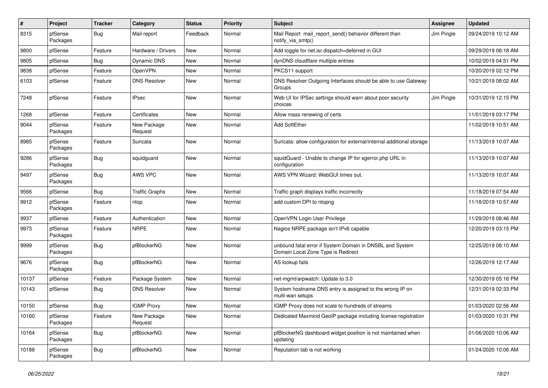| $\pmb{\#}$ | Project             | <b>Tracker</b> | Category               | <b>Status</b> | <b>Priority</b> | <b>Subject</b>                                                                                 | <b>Assignee</b> | <b>Updated</b>      |
|------------|---------------------|----------------|------------------------|---------------|-----------------|------------------------------------------------------------------------------------------------|-----------------|---------------------|
| 8315       | pfSense<br>Packages | <b>Bug</b>     | Mail report            | Feedback      | Normal          | Mail Report mail_report_send() behavior different than<br>notify_via_smtp()                    | Jim Pingle      | 09/24/2019 10:12 AM |
| 9800       | pfSense             | Feature        | Hardware / Drivers     | New           | Normal          | Add toggle for net.isr.dispatch=deferred in GUI                                                |                 | 09/29/2019 06:18 AM |
| 9805       | pfSense             | <b>Bug</b>     | Dynamic DNS            | New           | Normal          | dynDNS cloudflare multiple entries                                                             |                 | 10/02/2019 04:51 PM |
| 9838       | pfSense             | Feature        | OpenVPN                | <b>New</b>    | Normal          | PKCS11 support                                                                                 |                 | 10/20/2019 02:12 PM |
| 6103       | pfSense             | Feature        | <b>DNS Resolver</b>    | New           | Normal          | DNS Resolver Outgoing Interfaces should be able to use Gateway<br>Groups                       |                 | 10/21/2019 08:02 AM |
| 7248       | pfSense             | Feature        | <b>IPsec</b>           | <b>New</b>    | Normal          | Web UI for IPSec settings should warn about poor security<br>choices                           | Jim Pingle      | 10/31/2019 12:15 PM |
| 1268       | pfSense             | Feature        | Certificates           | <b>New</b>    | Normal          | Allow mass renewing of certs                                                                   |                 | 11/01/2019 03:17 PM |
| 9044       | pfSense<br>Packages | Feature        | New Package<br>Request | New           | Normal          | Add SoftEther                                                                                  |                 | 11/02/2019 10:51 AM |
| 8985       | pfSense<br>Packages | Feature        | Suricata               | <b>New</b>    | Normal          | Suricata: allow configuration for external/internal additional storage                         |                 | 11/13/2019 10:07 AM |
| 9286       | pfSense<br>Packages | <b>Bug</b>     | squidguard             | New           | Normal          | squidGuard - Unable to change IP for sgerror.php URL in<br>configuration                       |                 | 11/13/2019 10:07 AM |
| 9497       | pfSense<br>Packages | <b>Bug</b>     | AWS VPC                | New           | Normal          | AWS VPN Wizard: WebGUI times out.                                                              |                 | 11/13/2019 10:07 AM |
| 9566       | pfSense             | <b>Bug</b>     | <b>Traffic Graphs</b>  | <b>New</b>    | Normal          | Traffic graph displays traffic incorrectly                                                     |                 | 11/18/2019 07:54 AM |
| 9912       | pfSense<br>Packages | Feature        | ntop                   | New           | Normal          | add custom DPI to ntopng                                                                       |                 | 11/18/2019 10:57 AM |
| 9937       | pfSense             | Feature        | Authentication         | New           | Normal          | OpenVPN Login User Privilege                                                                   |                 | 11/29/2019 08:46 AM |
| 9973       | pfSense<br>Packages | Feature        | <b>NRPE</b>            | New           | Normal          | Nagios NRPE package isn't IPv6 capable                                                         |                 | 12/20/2019 03:15 PM |
| 9999       | pfSense<br>Packages | <b>Bug</b>     | pfBlockerNG            | New           | Normal          | unbound fatal error if System Domain in DNSBL and System<br>Domain Local Zone Type is Redirect |                 | 12/25/2019 08:10 AM |
| 9676       | pfSense<br>Packages | <b>Bug</b>     | pfBlockerNG            | New           | Normal          | AS lookup fails                                                                                |                 | 12/26/2019 12:17 AM |
| 10137      | pfSense             | Feature        | Package System         | <b>New</b>    | Normal          | net-mgmt/arpwatch: Update to 3.0                                                               |                 | 12/30/2019 05:16 PM |
| 10143      | pfSense             | <b>Bug</b>     | <b>DNS Resolver</b>    | New           | Normal          | System hostname DNS entry is assigned to the wrong IP on<br>multi-wan setups                   |                 | 12/31/2019 02:33 PM |
| 10150      | pfSense             | Bug            | <b>IGMP Proxy</b>      | New           | Normal          | IGMP Proxy does not scale to hundreds of streams                                               |                 | 01/03/2020 02:56 AM |
| 10160      | pfSense<br>Packages | Feature        | New Package<br>Request | New           | Normal          | Dedicated Maxmind GeoIP package including license registration                                 |                 | 01/03/2020 10:31 PM |
| 10164      | pfSense<br>Packages | <b>Bug</b>     | pfBlockerNG            | New           | Normal          | pfBlockerNG dashboard widget position is not maintained when<br>updating                       |                 | 01/06/2020 10:06 AM |
| 10188      | pfSense<br>Packages | Bug            | pfBlockerNG            | New           | Normal          | Reputation tab is not working                                                                  |                 | 01/24/2020 10:06 AM |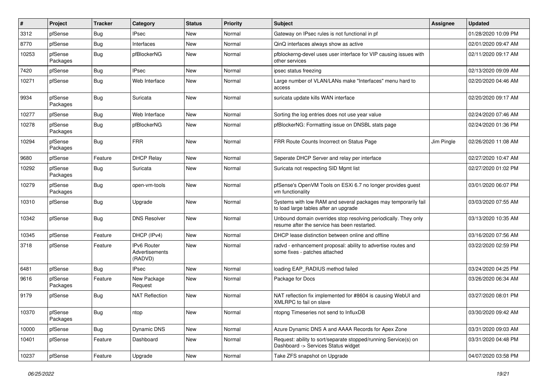| #     | Project             | <b>Tracker</b> | Category                                 | <b>Status</b> | Priority | <b>Subject</b>                                                                                                  | <b>Assignee</b> | <b>Updated</b>      |
|-------|---------------------|----------------|------------------------------------------|---------------|----------|-----------------------------------------------------------------------------------------------------------------|-----------------|---------------------|
| 3312  | pfSense             | <b>Bug</b>     | IPsec                                    | New           | Normal   | Gateway on IPsec rules is not functional in pf                                                                  |                 | 01/28/2020 10:09 PM |
| 8770  | pfSense             | <b>Bug</b>     | Interfaces                               | <b>New</b>    | Normal   | QinQ interfaces always show as active                                                                           |                 | 02/01/2020 09:47 AM |
| 10253 | pfSense<br>Packages | <b>Bug</b>     | pfBlockerNG                              | New           | Normal   | pfblockerng-devel uses user interface for VIP causing issues with<br>other services                             |                 | 02/11/2020 09:17 AM |
| 7420  | pfSense             | <b>Bug</b>     | <b>IPsec</b>                             | <b>New</b>    | Normal   | ipsec status freezing                                                                                           |                 | 02/13/2020 09:09 AM |
| 10271 | pfSense             | <b>Bug</b>     | Web Interface                            | New           | Normal   | Large number of VLAN/LANs make "Interfaces" menu hard to<br>access                                              |                 | 02/20/2020 04:46 AM |
| 9934  | pfSense<br>Packages | <b>Bug</b>     | Suricata                                 | <b>New</b>    | Normal   | suricata update kills WAN interface                                                                             |                 | 02/20/2020 09:17 AM |
| 10277 | pfSense             | <b>Bug</b>     | Web Interface                            | <b>New</b>    | Normal   | Sorting the log entries does not use year value                                                                 |                 | 02/24/2020 07:46 AM |
| 10278 | pfSense<br>Packages | <b>Bug</b>     | pfBlockerNG                              | New           | Normal   | pfBlockerNG: Formatting issue on DNSBL stats page                                                               |                 | 02/24/2020 01:36 PM |
| 10294 | pfSense<br>Packages | <b>Bug</b>     | <b>FRR</b>                               | <b>New</b>    | Normal   | FRR Route Counts Incorrect on Status Page                                                                       | Jim Pingle      | 02/26/2020 11:08 AM |
| 9680  | pfSense             | Feature        | <b>DHCP Relay</b>                        | New           | Normal   | Seperate DHCP Server and relay per interface                                                                    |                 | 02/27/2020 10:47 AM |
| 10292 | pfSense<br>Packages | <b>Bug</b>     | Suricata                                 | <b>New</b>    | Normal   | Suricata not respecting SID Mgmt list                                                                           |                 | 02/27/2020 01:02 PM |
| 10279 | pfSense<br>Packages | <b>Bug</b>     | open-vm-tools                            | New           | Normal   | pfSense's OpenVM Tools on ESXi 6.7 no longer provides guest<br>vm functionality                                 |                 | 03/01/2020 06:07 PM |
| 10310 | pfSense             | <b>Bug</b>     | Upgrade                                  | <b>New</b>    | Normal   | Systems with low RAM and several packages may temporarily fail<br>to load large tables after an upgrade         |                 | 03/03/2020 07:55 AM |
| 10342 | pfSense             | Bug            | <b>DNS Resolver</b>                      | <b>New</b>    | Normal   | Unbound domain overrides stop resolving periodically. They only<br>resume after the service has been restarted. |                 | 03/13/2020 10:35 AM |
| 10345 | pfSense             | Feature        | DHCP (IPv4)                              | <b>New</b>    | Normal   | DHCP lease distinction between online and offline                                                               |                 | 03/16/2020 07:56 AM |
| 3718  | pfSense             | Feature        | IPv6 Router<br>Advertisements<br>(RADVD) | <b>New</b>    | Normal   | radvd - enhancement proposal: ability to advertise routes and<br>some fixes - patches attached                  |                 | 03/22/2020 02:59 PM |
| 6481  | pfSense             | <b>Bug</b>     | <b>IPsec</b>                             | <b>New</b>    | Normal   | loading EAP_RADIUS method failed                                                                                |                 | 03/24/2020 04:25 PM |
| 9616  | pfSense<br>Packages | Feature        | New Package<br>Request                   | New           | Normal   | Package for Docs                                                                                                |                 | 03/26/2020 06:34 AM |
| 9179  | pfSense             | <b>Bug</b>     | <b>NAT Reflection</b>                    | <b>New</b>    | Normal   | NAT reflection fix implemented for #8604 is causing WebUI and<br>XMLRPC to fail on slave                        |                 | 03/27/2020 08:01 PM |
| 10370 | pfSense<br>Packages | <b>Bug</b>     | ntop                                     | New           | Normal   | ntopng Timeseries not send to InfluxDB                                                                          |                 | 03/30/2020 09:42 AM |
| 10000 | pfSense             | <b>Bug</b>     | Dynamic DNS                              | New           | Normal   | Azure Dynamic DNS A and AAAA Records for Apex Zone                                                              |                 | 03/31/2020 09:03 AM |
| 10401 | pfSense             | Feature        | Dashboard                                | New           | Normal   | Request: ability to sort/separate stopped/running Service(s) on<br>Dashboard -> Services Status widget          |                 | 03/31/2020 04:48 PM |
| 10237 | pfSense             | Feature        | Upgrade                                  | New           | Normal   | Take ZFS snapshot on Upgrade                                                                                    |                 | 04/07/2020 03:58 PM |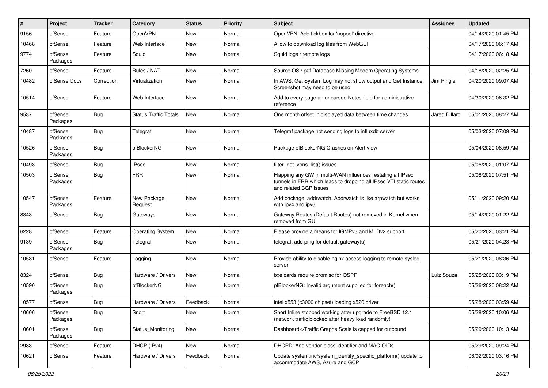| #     | Project             | <b>Tracker</b> | Category                     | <b>Status</b> | Priority | <b>Subject</b>                                                                                                                                              | <b>Assignee</b>      | <b>Updated</b>      |
|-------|---------------------|----------------|------------------------------|---------------|----------|-------------------------------------------------------------------------------------------------------------------------------------------------------------|----------------------|---------------------|
| 9156  | pfSense             | Feature        | OpenVPN                      | New           | Normal   | OpenVPN: Add tickbox for 'nopool' directive                                                                                                                 |                      | 04/14/2020 01:45 PM |
| 10468 | pfSense             | Feature        | Web Interface                | New           | Normal   | Allow to download log files from WebGUI                                                                                                                     |                      | 04/17/2020 06:17 AM |
| 9774  | pfSense<br>Packages | Feature        | Squid                        | New           | Normal   | Squid logs / remote logs                                                                                                                                    |                      | 04/17/2020 06:18 AM |
| 7260  | pfSense             | Feature        | Rules / NAT                  | New           | Normal   | Source OS / p0f Database Missing Modern Operating Systems                                                                                                   |                      | 04/18/2020 02:25 AM |
| 10482 | pfSense Docs        | Correction     | Virtualization               | New           | Normal   | In AWS, Get System Log may not show output and Get Instance<br>Screenshot may need to be used                                                               | Jim Pingle           | 04/20/2020 09:07 AM |
| 10514 | pfSense             | Feature        | Web Interface                | New           | Normal   | Add to every page an unparsed Notes field for administrative<br>reference                                                                                   |                      | 04/30/2020 06:32 PM |
| 9537  | pfSense<br>Packages | <b>Bug</b>     | <b>Status Traffic Totals</b> | New           | Normal   | One month offset in displayed data between time changes                                                                                                     | <b>Jared Dillard</b> | 05/01/2020 08:27 AM |
| 10487 | pfSense<br>Packages | <b>Bug</b>     | Telegraf                     | New           | Normal   | Telegraf package not sending logs to influxdb server                                                                                                        |                      | 05/03/2020 07:09 PM |
| 10526 | pfSense<br>Packages | <b>Bug</b>     | pfBlockerNG                  | New           | Normal   | Package pfBlockerNG Crashes on Alert view                                                                                                                   |                      | 05/04/2020 08:59 AM |
| 10493 | pfSense             | <b>Bug</b>     | <b>IPsec</b>                 | New           | Normal   | filter_get_vpns_list() issues                                                                                                                               |                      | 05/06/2020 01:07 AM |
| 10503 | pfSense<br>Packages | <b>Bug</b>     | <b>FRR</b>                   | New           | Normal   | Flapping any GW in multi-WAN influences restating all IPsec<br>tunnels in FRR which leads to dropping all IPsec VTI static routes<br>and related BGP issues |                      | 05/08/2020 07:51 PM |
| 10547 | pfSense<br>Packages | Feature        | New Package<br>Request       | New           | Normal   | Add package addrwatch. Addrwatch is like arpwatch but works<br>with ipv4 and ipv6                                                                           |                      | 05/11/2020 09:20 AM |
| 8343  | pfSense             | <b>Bug</b>     | Gateways                     | <b>New</b>    | Normal   | Gateway Routes (Default Routes) not removed in Kernel when<br>removed from GUI                                                                              |                      | 05/14/2020 01:22 AM |
| 6228  | pfSense             | Feature        | <b>Operating System</b>      | <b>New</b>    | Normal   | Please provide a means for IGMPv3 and MLDv2 support                                                                                                         |                      | 05/20/2020 03:21 PM |
| 9139  | pfSense<br>Packages | <b>Bug</b>     | Telegraf                     | New           | Normal   | telegraf: add ping for default gateway(s)                                                                                                                   |                      | 05/21/2020 04:23 PM |
| 10581 | pfSense             | Feature        | Logging                      | New           | Normal   | Provide ability to disable nginx access logging to remote syslog<br>server                                                                                  |                      | 05/21/2020 08:36 PM |
| 8324  | pfSense             | Bug            | Hardware / Drivers           | New           | Normal   | bxe cards require promisc for OSPF                                                                                                                          | Luiz Souza           | 05/25/2020 03:19 PM |
| 10590 | pfSense<br>Packages | <b>Bug</b>     | pfBlockerNG                  | New           | Normal   | pfBlockerNG: Invalid argument supplied for foreach()                                                                                                        |                      | 05/26/2020 08:22 AM |
| 10577 | pfSense             | <b>Bug</b>     | Hardware / Drivers           | Feedback      | Normal   | intel x553 (c3000 chipset) loading x520 driver                                                                                                              |                      | 05/28/2020 03:59 AM |
| 10606 | pfSense<br>Packages | Bug            | Snort                        | New           | Normal   | Snort Inline stopped working after upgrade to FreeBSD 12.1<br>(network traffic blocked after heavy load randomly)                                           |                      | 05/28/2020 10:06 AM |
| 10601 | pfSense<br>Packages | <b>Bug</b>     | Status Monitoring            | New           | Normal   | Dashboard->Traffic Graphs Scale is capped for outbound                                                                                                      |                      | 05/29/2020 10:13 AM |
| 2983  | pfSense             | Feature        | DHCP (IPv4)                  | New           | Normal   | DHCPD: Add vendor-class-identifier and MAC-OIDs                                                                                                             |                      | 05/29/2020 09:24 PM |
| 10621 | pfSense             | Feature        | Hardware / Drivers           | Feedback      | Normal   | Update system.inc/system_identify_specific_platform() update to<br>accommodate AWS, Azure and GCP                                                           |                      | 06/02/2020 03:16 PM |